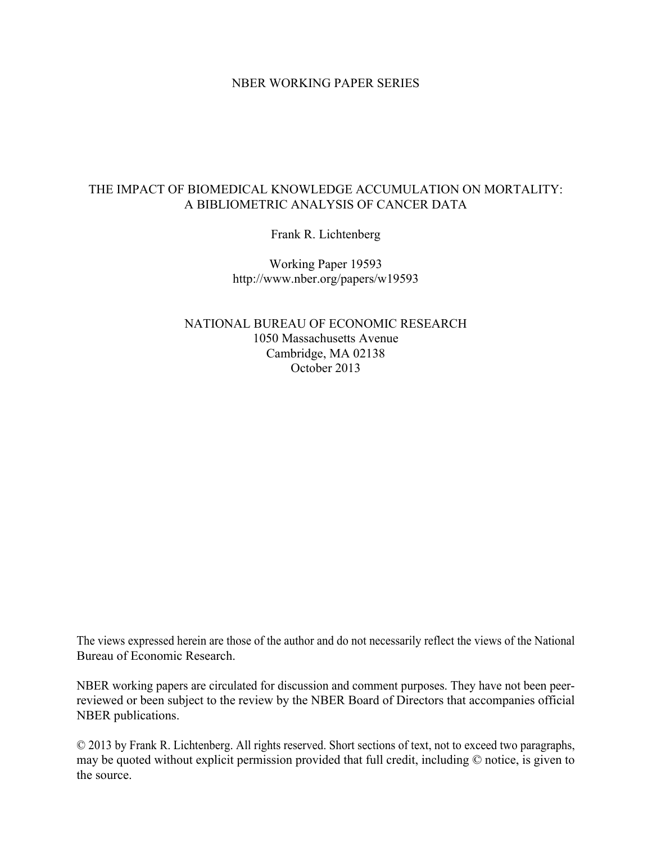### NBER WORKING PAPER SERIES

# THE IMPACT OF BIOMEDICAL KNOWLEDGE ACCUMULATION ON MORTALITY: A BIBLIOMETRIC ANALYSIS OF CANCER DATA

Frank R. Lichtenberg

Working Paper 19593 http://www.nber.org/papers/w19593

NATIONAL BUREAU OF ECONOMIC RESEARCH 1050 Massachusetts Avenue Cambridge, MA 02138 October 2013

The views expressed herein are those of the author and do not necessarily reflect the views of the National Bureau of Economic Research.

NBER working papers are circulated for discussion and comment purposes. They have not been peerreviewed or been subject to the review by the NBER Board of Directors that accompanies official NBER publications.

© 2013 by Frank R. Lichtenberg. All rights reserved. Short sections of text, not to exceed two paragraphs, may be quoted without explicit permission provided that full credit, including © notice, is given to the source.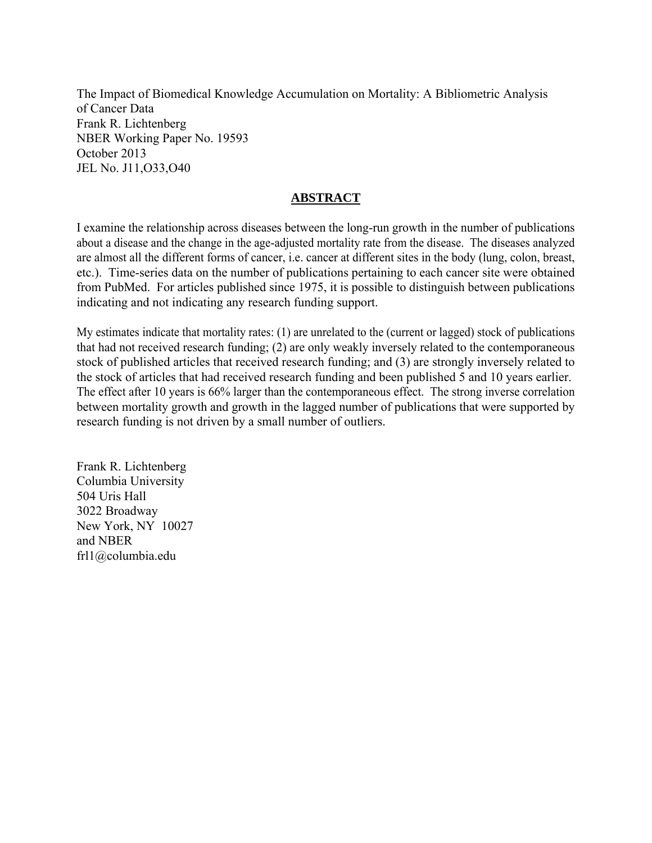The Impact of Biomedical Knowledge Accumulation on Mortality: A Bibliometric Analysis of Cancer Data Frank R. Lichtenberg NBER Working Paper No. 19593 October 2013 JEL No. J11,O33,O40

# **ABSTRACT**

I examine the relationship across diseases between the long-run growth in the number of publications about a disease and the change in the age-adjusted mortality rate from the disease. The diseases analyzed are almost all the different forms of cancer, i.e. cancer at different sites in the body (lung, colon, breast, etc.). Time-series data on the number of publications pertaining to each cancer site were obtained from PubMed. For articles published since 1975, it is possible to distinguish between publications indicating and not indicating any research funding support.

My estimates indicate that mortality rates: (1) are unrelated to the (current or lagged) stock of publications that had not received research funding; (2) are only weakly inversely related to the contemporaneous stock of published articles that received research funding; and (3) are strongly inversely related to the stock of articles that had received research funding and been published 5 and 10 years earlier. The effect after 10 years is 66% larger than the contemporaneous effect. The strong inverse correlation between mortality growth and growth in the lagged number of publications that were supported by research funding is not driven by a small number of outliers.

Frank R. Lichtenberg Columbia University 504 Uris Hall 3022 Broadway New York, NY 10027 and NBER frl1@columbia.edu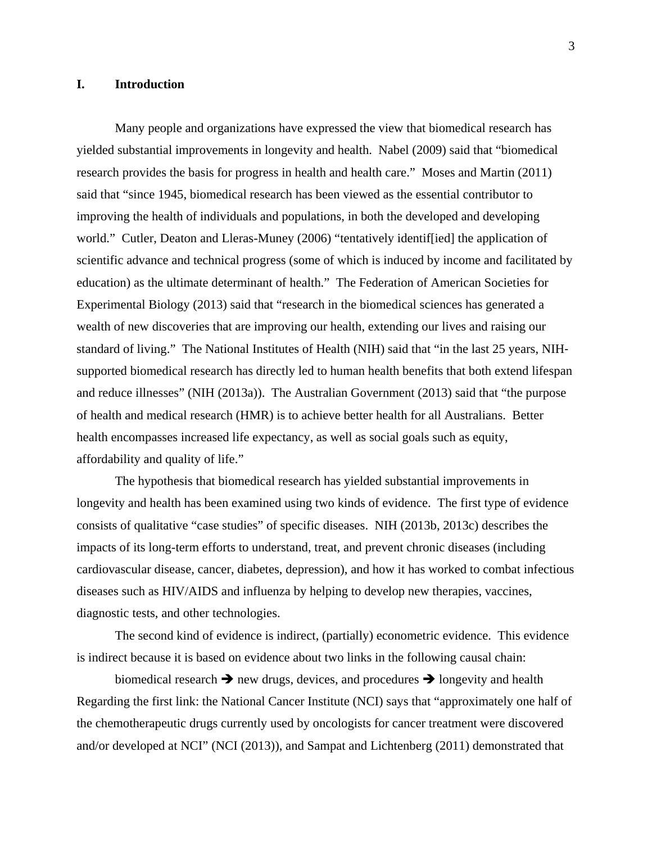#### **I. Introduction**

Many people and organizations have expressed the view that biomedical research has yielded substantial improvements in longevity and health. Nabel (2009) said that "biomedical research provides the basis for progress in health and health care." Moses and Martin (2011) said that "since 1945, biomedical research has been viewed as the essential contributor to improving the health of individuals and populations, in both the developed and developing world." Cutler, Deaton and Lleras-Muney (2006) "tentatively identif[ied] the application of scientific advance and technical progress (some of which is induced by income and facilitated by education) as the ultimate determinant of health." The Federation of American Societies for Experimental Biology (2013) said that "research in the biomedical sciences has generated a wealth of new discoveries that are improving our health, extending our lives and raising our standard of living." The National Institutes of Health (NIH) said that "in the last 25 years, NIH‐ supported biomedical research has directly led to human health benefits that both extend lifespan and reduce illnesses" (NIH (2013a)). The Australian Government (2013) said that "the purpose of health and medical research (HMR) is to achieve better health for all Australians. Better health encompasses increased life expectancy, as well as social goals such as equity, affordability and quality of life."

The hypothesis that biomedical research has yielded substantial improvements in longevity and health has been examined using two kinds of evidence. The first type of evidence consists of qualitative "case studies" of specific diseases. NIH (2013b, 2013c) describes the impacts of its long-term efforts to understand, treat, and prevent chronic diseases (including cardiovascular disease, cancer, diabetes, depression), and how it has worked to combat infectious diseases such as HIV/AIDS and influenza by helping to develop new therapies, vaccines, diagnostic tests, and other technologies.

The second kind of evidence is indirect, (partially) econometric evidence. This evidence is indirect because it is based on evidence about two links in the following causal chain:

biomedical research  $\rightarrow$  new drugs, devices, and procedures  $\rightarrow$  longevity and health Regarding the first link: the National Cancer Institute (NCI) says that "approximately one half of the chemotherapeutic drugs currently used by oncologists for cancer treatment were discovered and/or developed at NCI" (NCI (2013)), and Sampat and Lichtenberg (2011) demonstrated that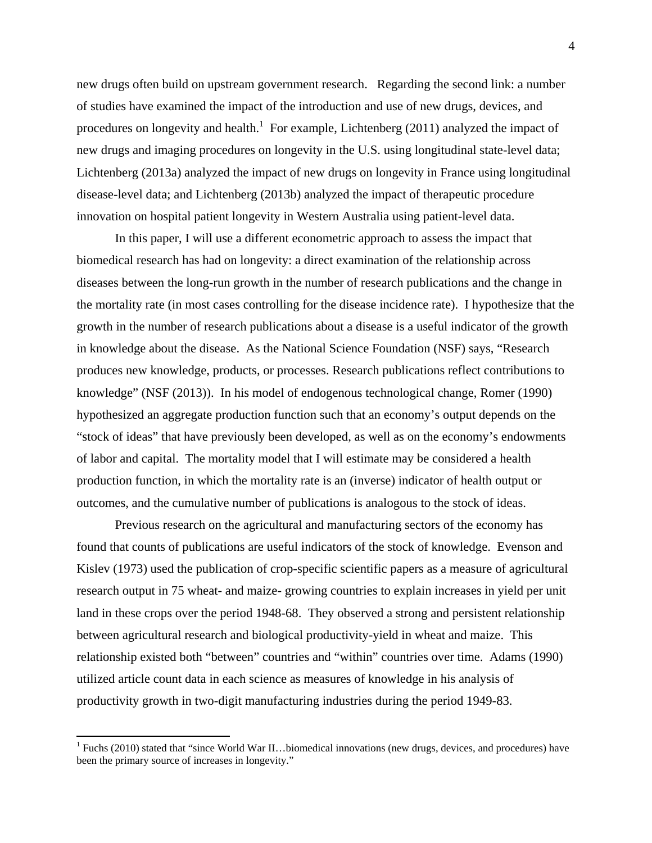new drugs often build on upstream government research. Regarding the second link: a number of studies have examined the impact of the introduction and use of new drugs, devices, and procedures on longevity and health.<sup>1</sup> For example, Lichtenberg (2011) analyzed the impact of new drugs and imaging procedures on longevity in the U.S. using longitudinal state-level data; Lichtenberg (2013a) analyzed the impact of new drugs on longevity in France using longitudinal disease-level data; and Lichtenberg (2013b) analyzed the impact of therapeutic procedure innovation on hospital patient longevity in Western Australia using patient-level data.

 In this paper, I will use a different econometric approach to assess the impact that biomedical research has had on longevity: a direct examination of the relationship across diseases between the long-run growth in the number of research publications and the change in the mortality rate (in most cases controlling for the disease incidence rate). I hypothesize that the growth in the number of research publications about a disease is a useful indicator of the growth in knowledge about the disease. As the National Science Foundation (NSF) says, "Research produces new knowledge, products, or processes. Research publications reflect contributions to knowledge" (NSF (2013)). In his model of endogenous technological change, Romer (1990) hypothesized an aggregate production function such that an economy's output depends on the "stock of ideas" that have previously been developed, as well as on the economy's endowments of labor and capital. The mortality model that I will estimate may be considered a health production function, in which the mortality rate is an (inverse) indicator of health output or outcomes, and the cumulative number of publications is analogous to the stock of ideas.

Previous research on the agricultural and manufacturing sectors of the economy has found that counts of publications are useful indicators of the stock of knowledge. Evenson and Kislev (1973) used the publication of crop-specific scientific papers as a measure of agricultural research output in 75 wheat- and maize- growing countries to explain increases in yield per unit land in these crops over the period 1948-68. They observed a strong and persistent relationship between agricultural research and biological productivity-yield in wheat and maize. This relationship existed both "between" countries and "within" countries over time. Adams (1990) utilized article count data in each science as measures of knowledge in his analysis of productivity growth in two-digit manufacturing industries during the period 1949-83.

<sup>&</sup>lt;sup>1</sup> Fuchs (2010) stated that "since World War II...biomedical innovations (new drugs, devices, and procedures) have been the primary source of increases in longevity."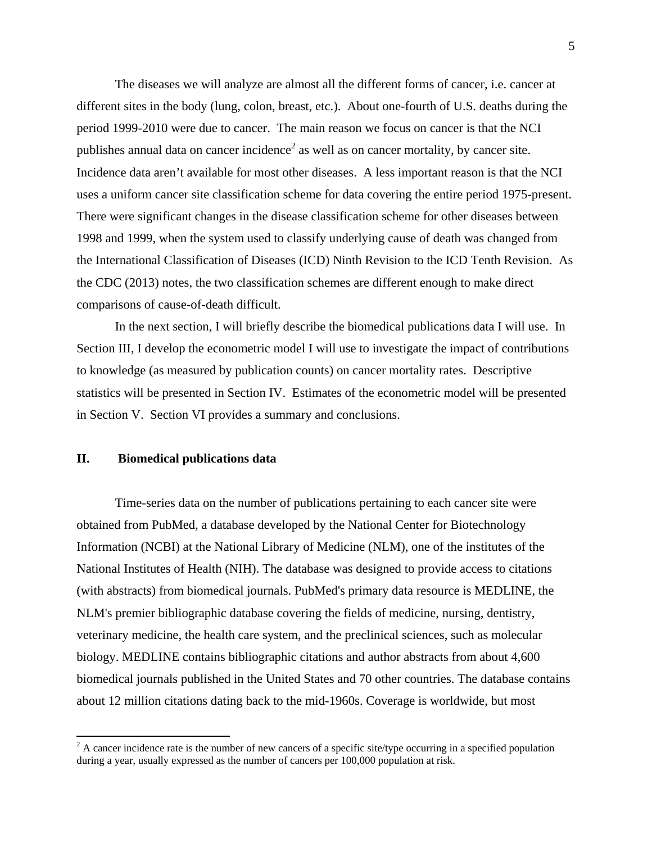The diseases we will analyze are almost all the different forms of cancer, i.e. cancer at different sites in the body (lung, colon, breast, etc.). About one-fourth of U.S. deaths during the period 1999-2010 were due to cancer. The main reason we focus on cancer is that the NCI publishes annual data on cancer incidence<sup>2</sup> as well as on cancer mortality, by cancer site. Incidence data aren't available for most other diseases. A less important reason is that the NCI uses a uniform cancer site classification scheme for data covering the entire period 1975-present. There were significant changes in the disease classification scheme for other diseases between 1998 and 1999, when the system used to classify underlying cause of death was changed from the International Classification of Diseases (ICD) Ninth Revision to the ICD Tenth Revision. As the CDC (2013) notes, the two classification schemes are different enough to make direct comparisons of cause-of-death difficult.

In the next section, I will briefly describe the biomedical publications data I will use. In Section III, I develop the econometric model I will use to investigate the impact of contributions to knowledge (as measured by publication counts) on cancer mortality rates. Descriptive statistics will be presented in Section IV. Estimates of the econometric model will be presented in Section V. Section VI provides a summary and conclusions.

### **II. Biomedical publications data**

Time-series data on the number of publications pertaining to each cancer site were obtained from PubMed, a database developed by the National Center for Biotechnology Information (NCBI) at the National Library of Medicine (NLM), one of the institutes of the National Institutes of Health (NIH). The database was designed to provide access to citations (with abstracts) from biomedical journals. PubMed's primary data resource is MEDLINE, the NLM's premier bibliographic database covering the fields of medicine, nursing, dentistry, veterinary medicine, the health care system, and the preclinical sciences, such as molecular biology. MEDLINE contains bibliographic citations and author abstracts from about 4,600 biomedical journals published in the United States and 70 other countries. The database contains about 12 million citations dating back to the mid-1960s. Coverage is worldwide, but most

 $2^2$  A cancer incidence rate is the number of new cancers of a specific site/type occurring in a specified population during a year, usually expressed as the number of cancers per 100,000 population at risk.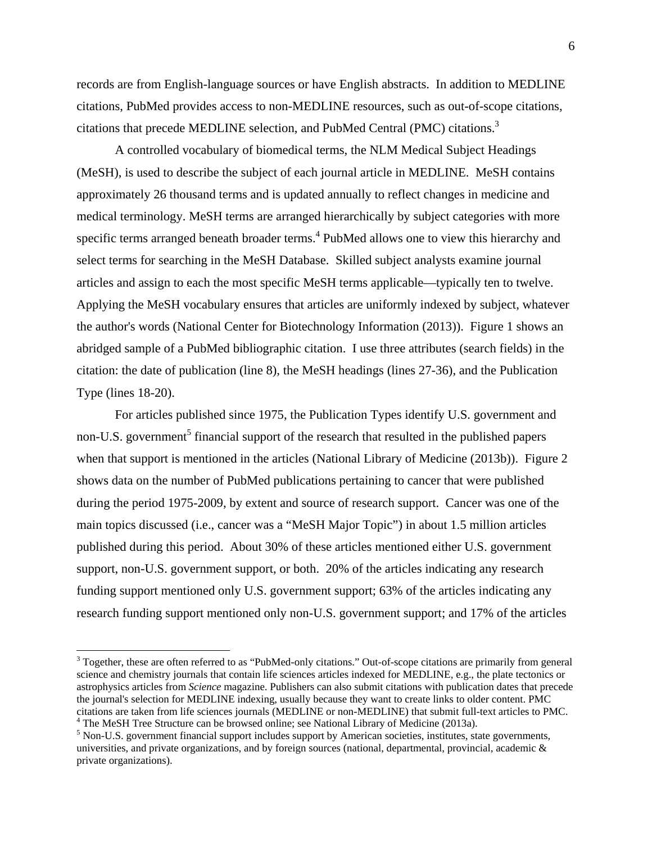records are from English-language sources or have English abstracts. In addition to MEDLINE citations, PubMed provides access to non-MEDLINE resources, such as out-of-scope citations, citations that precede MEDLINE selection, and PubMed Central (PMC) citations.<sup>3</sup>

A controlled vocabulary of biomedical terms, the NLM Medical Subject Headings (MeSH), is used to describe the subject of each journal article in MEDLINE. MeSH contains approximately 26 thousand terms and is updated annually to reflect changes in medicine and medical terminology. MeSH terms are arranged hierarchically by subject categories with more specific terms arranged beneath broader terms.<sup>4</sup> PubMed allows one to view this hierarchy and select terms for searching in the MeSH Database. Skilled subject analysts examine journal articles and assign to each the most specific MeSH terms applicable—typically ten to twelve. Applying the MeSH vocabulary ensures that articles are uniformly indexed by subject, whatever the author's words (National Center for Biotechnology Information (2013)). Figure 1 shows an abridged sample of a PubMed bibliographic citation. I use three attributes (search fields) in the citation: the date of publication (line 8), the MeSH headings (lines 27-36), and the Publication Type (lines 18-20).

For articles published since 1975, the Publication Types identify U.S. government and non-U.S. government<sup>5</sup> financial support of the research that resulted in the published papers when that support is mentioned in the articles (National Library of Medicine (2013b)). Figure 2 shows data on the number of PubMed publications pertaining to cancer that were published during the period 1975-2009, by extent and source of research support. Cancer was one of the main topics discussed (i.e., cancer was a "MeSH Major Topic") in about 1.5 million articles published during this period. About 30% of these articles mentioned either U.S. government support, non-U.S. government support, or both. 20% of the articles indicating any research funding support mentioned only U.S. government support; 63% of the articles indicating any research funding support mentioned only non-U.S. government support; and 17% of the articles

 $3$  Together, these are often referred to as "PubMed-only citations." Out-of-scope citations are primarily from general science and chemistry journals that contain life sciences articles indexed for MEDLINE, e.g., the plate tectonics or astrophysics articles from *Science* magazine. Publishers can also submit citations with publication dates that precede the journal's selection for MEDLINE indexing, usually because they want to create links to older content. PMC citations are taken from life sciences journals (MEDLINE or non-MEDLINE) that submit full-text articles to PMC. 4  $4$  The MeSH Tree Structure can be browsed online; see National Library of Medicine (2013a).

<sup>&</sup>lt;sup>5</sup> Non-U.S. government financial support includes support by American societies, institutes, state governments, universities, and private organizations, and by foreign sources (national, departmental, provincial, academic & private organizations).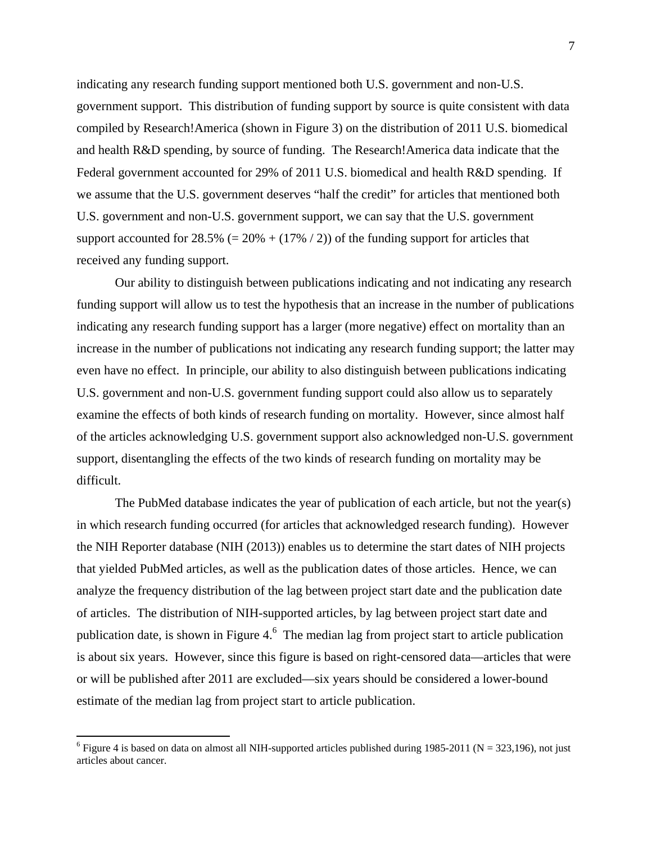indicating any research funding support mentioned both U.S. government and non-U.S. government support. This distribution of funding support by source is quite consistent with data compiled by Research!America (shown in Figure 3) on the distribution of 2011 U.S. biomedical and health R&D spending, by source of funding. The Research!America data indicate that the Federal government accounted for 29% of 2011 U.S. biomedical and health R&D spending. If we assume that the U.S. government deserves "half the credit" for articles that mentioned both U.S. government and non-U.S. government support, we can say that the U.S. government support accounted for  $28.5\%$  (=  $20\%$  + (17% / 2)) of the funding support for articles that received any funding support.

Our ability to distinguish between publications indicating and not indicating any research funding support will allow us to test the hypothesis that an increase in the number of publications indicating any research funding support has a larger (more negative) effect on mortality than an increase in the number of publications not indicating any research funding support; the latter may even have no effect. In principle, our ability to also distinguish between publications indicating U.S. government and non-U.S. government funding support could also allow us to separately examine the effects of both kinds of research funding on mortality. However, since almost half of the articles acknowledging U.S. government support also acknowledged non-U.S. government support, disentangling the effects of the two kinds of research funding on mortality may be difficult.

The PubMed database indicates the year of publication of each article, but not the year(s) in which research funding occurred (for articles that acknowledged research funding). However the NIH Reporter database (NIH (2013)) enables us to determine the start dates of NIH projects that yielded PubMed articles, as well as the publication dates of those articles. Hence, we can analyze the frequency distribution of the lag between project start date and the publication date of articles. The distribution of NIH-supported articles, by lag between project start date and publication date, is shown in Figure  $4<sup>6</sup>$  The median lag from project start to article publication is about six years. However, since this figure is based on right-censored data—articles that were or will be published after 2011 are excluded—six years should be considered a lower-bound estimate of the median lag from project start to article publication.

<sup>&</sup>lt;sup>6</sup> Figure 4 is based on data on almost all NIH-supported articles published during 1985-2011 (N = 323,196), not just articles about cancer.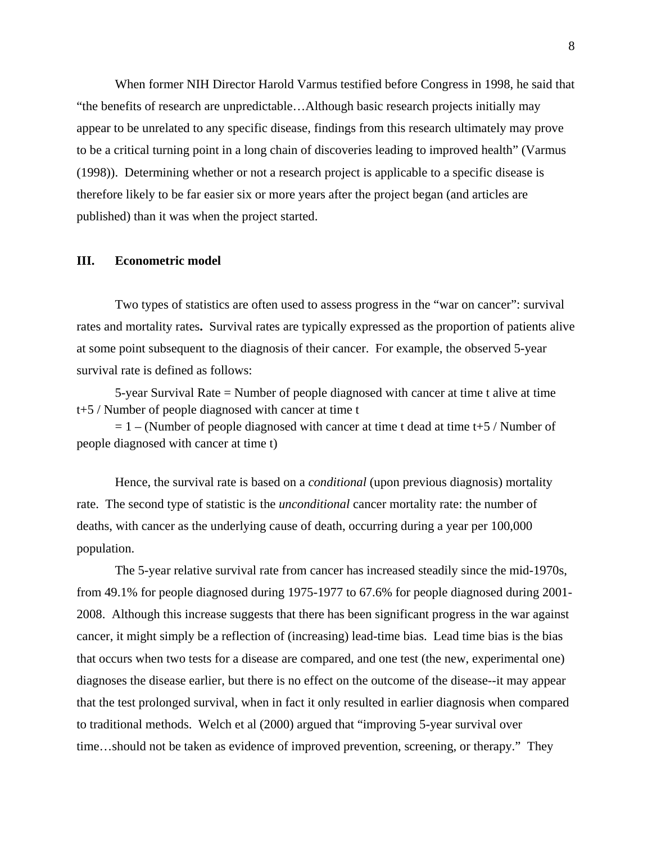When former NIH Director Harold Varmus testified before Congress in 1998, he said that "the benefits of research are unpredictable…Although basic research projects initially may appear to be unrelated to any specific disease, findings from this research ultimately may prove to be a critical turning point in a long chain of discoveries leading to improved health" (Varmus (1998)). Determining whether or not a research project is applicable to a specific disease is therefore likely to be far easier six or more years after the project began (and articles are published) than it was when the project started.

#### **III. Econometric model**

Two types of statistics are often used to assess progress in the "war on cancer": survival rates and mortality rates**.** Survival rates are typically expressed as the proportion of patients alive at some point subsequent to the diagnosis of their cancer.For example, the observed 5-year survival rate is defined as follows:

5-year Survival Rate = Number of people diagnosed with cancer at time t alive at time t+5 / Number of people diagnosed with cancer at time t

 $= 1 - (Number of people diagnosed with cancer at time t dead at time t+5 / Number of$ people diagnosed with cancer at time t)

Hence, the survival rate is based on a *conditional* (upon previous diagnosis) mortality rate. The second type of statistic is the *unconditional* cancer mortality rate: the number of deaths, with cancer as the underlying cause of death, occurring during a year per 100,000 population.

The 5-year relative survival rate from cancer has increased steadily since the mid-1970s, from 49.1% for people diagnosed during 1975-1977 to 67.6% for people diagnosed during 2001- 2008. Although this increase suggests that there has been significant progress in the war against cancer, it might simply be a reflection of (increasing) lead-time bias. Lead time bias is the bias that occurs when two tests for a disease are compared, and one test (the new, experimental one) diagnoses the disease earlier, but there is no effect on the outcome of the disease--it may appear that the test prolonged survival, when in fact it only resulted in earlier diagnosis when compared to traditional methods. Welch et al (2000) argued that "improving 5-year survival over time…should not be taken as evidence of improved prevention, screening, or therapy." They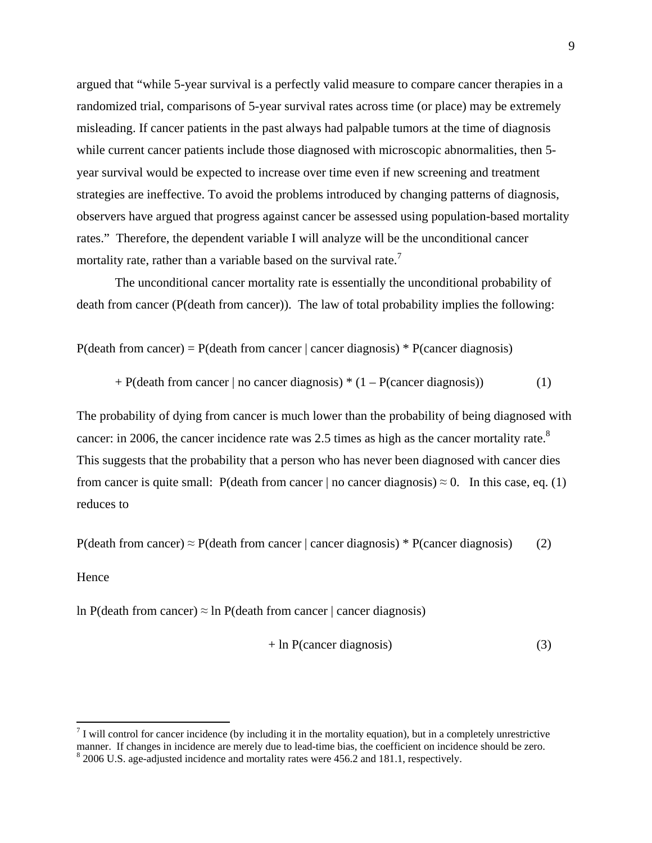argued that "while 5-year survival is a perfectly valid measure to compare cancer therapies in a randomized trial, comparisons of 5-year survival rates across time (or place) may be extremely misleading. If cancer patients in the past always had palpable tumors at the time of diagnosis while current cancer patients include those diagnosed with microscopic abnormalities, then 5year survival would be expected to increase over time even if new screening and treatment strategies are ineffective. To avoid the problems introduced by changing patterns of diagnosis, observers have argued that progress against cancer be assessed using population-based mortality rates." Therefore, the dependent variable I will analyze will be the unconditional cancer mortality rate, rather than a variable based on the survival rate.<sup>7</sup>

The unconditional cancer mortality rate is essentially the unconditional probability of death from cancer (P(death from cancer)). The law of total probability implies the following:

 $P$ (death from cancer) = P(death from cancer | cancer diagnosis) \* P(cancer diagnosis)

 $+$  P(death from cancer | no cancer diagnosis)  $*(1 - P(\text{cancer diagnosis}))$  (1)

The probability of dying from cancer is much lower than the probability of being diagnosed with cancer: in 2006, the cancer incidence rate was 2.5 times as high as the cancer mortality rate. $8$ This suggests that the probability that a person who has never been diagnosed with cancer dies from cancer is quite small: P(death from cancer  $|$  no cancer diagnosis)  $\approx 0$ . In this case, eq. (1) reduces to

P(death from cancer)  $\approx$  P(death from cancer | cancer diagnosis) \* P(cancer diagnosis) (2)

#### **Hence**

ln P(death from cancer)  $\approx$  ln P(death from cancer | cancer diagnosis)

$$
+ \ln P(cancer diagnosis) \tag{3}
$$

 $<sup>7</sup>$  I will control for cancer incidence (by including it in the mortality equation), but in a completely unrestrictive</sup> manner. If changes in incidence are merely due to lead-time bias, the coefficient on incidence should be zero. 8 <sup>8</sup> 2006 U.S. age-adjusted incidence and mortality rates were 456.2 and 181.1, respectively.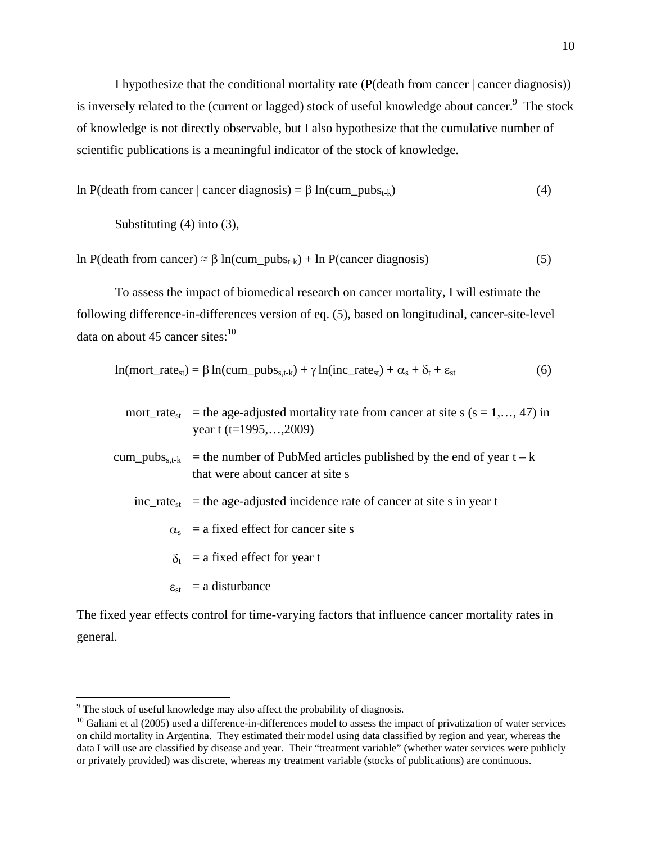I hypothesize that the conditional mortality rate (P(death from cancer | cancer diagnosis)) is inversely related to the (current or lagged) stock of useful knowledge about cancer. $\degree$  The stock of knowledge is not directly observable, but I also hypothesize that the cumulative number of scientific publications is a meaningful indicator of the stock of knowledge.

$$
ln P(death from cancer | cancer diagnosis) = \beta ln(cum_pubs_{t-k})
$$
\n(4)

Substituting (4) into (3),

ln P(death from cancer)  $\approx \beta \ln(\text{cum\_pubs}_{t-k}) + \ln P(\text{cancer diagnosis})$  (5)

To assess the impact of biomedical research on cancer mortality, I will estimate the following difference-in-differences version of eq. (5), based on longitudinal, cancer-site-level data on about 45 cancer sites: $10$ 

$$
ln(mort\_rate_{st}) = \beta ln(cum\_pubs_{s,t-k}) + \gamma ln(inc\_rate_{st}) + \alpha_s + \delta_t + \epsilon_{st}
$$
(6)

- mort rate<sub>st</sub> = the age-adjusted mortality rate from cancer at site s (s = 1,…, 47) in year t (t=1995,…,2009)
- cum\_pubs<sub>s,t-k</sub> = the number of PubMed articles published by the end of year t k that were about cancer at site s
	- $inc\_rate_{st}$  = the age-adjusted incidence rate of cancer at site s in year t
		- $\alpha_s$  = a fixed effect for cancer site s
		- $\delta_t$  = a fixed effect for year t
		- $\varepsilon_{st}$  = a disturbance

The fixed year effects control for time-varying factors that influence cancer mortality rates in general.

<sup>&</sup>lt;sup>9</sup> The stock of useful knowledge may also affect the probability of diagnosis.

 $10$  Galiani et al (2005) used a difference-in-differences model to assess the impact of privatization of water services on child mortality in Argentina. They estimated their model using data classified by region and year, whereas the data I will use are classified by disease and year. Their "treatment variable" (whether water services were publicly or privately provided) was discrete, whereas my treatment variable (stocks of publications) are continuous.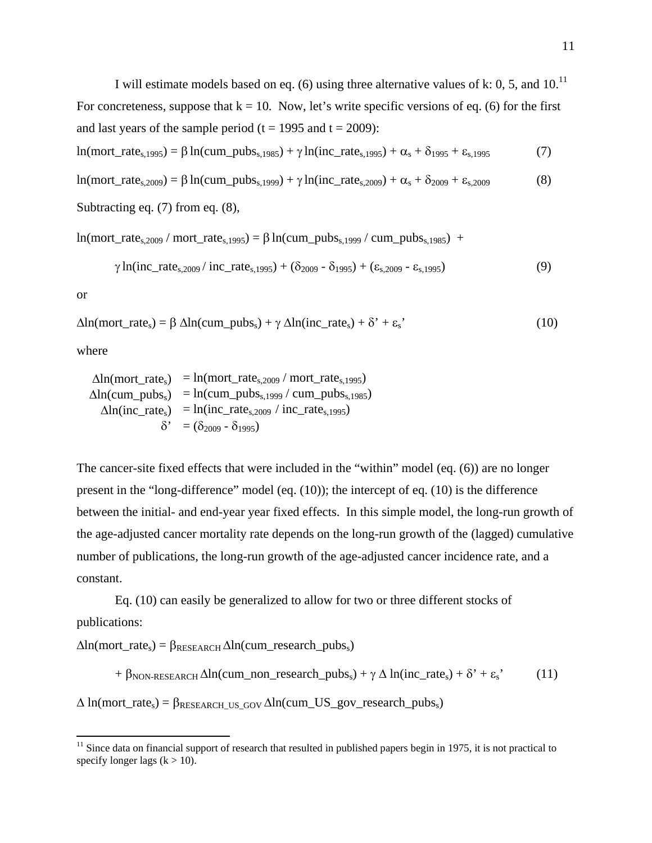I will estimate models based on eq. (6) using three alternative values of k: 0, 5, and  $10^{11}$ For concreteness, suppose that  $k = 10$ . Now, let's write specific versions of eq. (6) for the first and last years of the sample period ( $t = 1995$  and  $t = 2009$ ):

$$
\ln(mort\_rate_{s,1995}) = \beta \ln(cum\_pubs_{s,1985}) + \gamma \ln(in\_rate_{s,1995}) + \alpha_s + \delta_{1995} + \epsilon_{s,1995}
$$
(7)

$$
\ln(mort\_rate_{s,2009}) = \beta \ln(cum\_pubs_{s,1999}) + \gamma \ln(in\_rate_{s,2009}) + \alpha_s + \delta_{2009} + \epsilon_{s,2009}
$$
(8)

```
Subtracting eq. (7) from eq. (8),
```

```
ln(mort_rate_{s,2009} / mort_rate_{s,1995}) = \beta ln(cum_pubs_{s,1999} / cum_pubs_{s,1985}) +
```

$$
\gamma \ln(\text{inc\_rate}_{s,2009} / \text{inc\_rate}_{s,1995}) + (\delta_{2009} - \delta_{1995}) + (\epsilon_{s,2009} - \epsilon_{s,1995}) \tag{9}
$$

or

```
\Delta \ln(mort_rate_s) = \beta \Delta \ln(cum_pubs_s) + \gamma \Delta \ln(inc_rate_s) + \delta' + \epsilon_s' (10)
```
where

 $\Delta \ln(mort\ rate_s) = \ln(mort\_rate_{s,2009} / mort\_rate_{s,1995})$  $\Delta ln$ (cum\_pubs<sub>s</sub>) = ln(cum\_pubs<sub>s,1999</sub> / cum\_pubs<sub>s,1985</sub>)  $\Delta \ln (inc\_rate_s) = ln (inc\_rate_{s,2009} / inc\_rate_{s,1995})$  $\delta' = (\delta_{2009} - \delta_{1995})$ 

The cancer-site fixed effects that were included in the "within" model (eq. (6)) are no longer present in the "long-difference" model (eq. (10)); the intercept of eq. (10) is the difference between the initial- and end-year year fixed effects. In this simple model, the long-run growth of the age-adjusted cancer mortality rate depends on the long-run growth of the (lagged) cumulative number of publications, the long-run growth of the age-adjusted cancer incidence rate, and a constant.

 Eq. (10) can easily be generalized to allow for two or three different stocks of publications:

 $\Delta ln(mort_rate_s) = \beta_{RESEARCH} \Delta ln(cum_research_pubs_s)$ 

+  $\beta_{\text{NON-RESEARCH}}$   $\Delta \ln$ (cum non research pubs<sub>s</sub>) +  $\gamma \Delta \ln$ (inc rate<sub>s</sub>) +  $\delta'$  +  $\varepsilon$ <sub>s</sub>' (11)

 $\Delta$  ln(mort\_rate<sub>s</sub>) =  $\beta_{RESEARCH\;US\;GOV}$   $\Delta$ ln(cum\_US\_gov\_research\_pubs<sub>s</sub>)

 $11$  Since data on financial support of research that resulted in published papers begin in 1975, it is not practical to specify longer lags  $(k > 10)$ .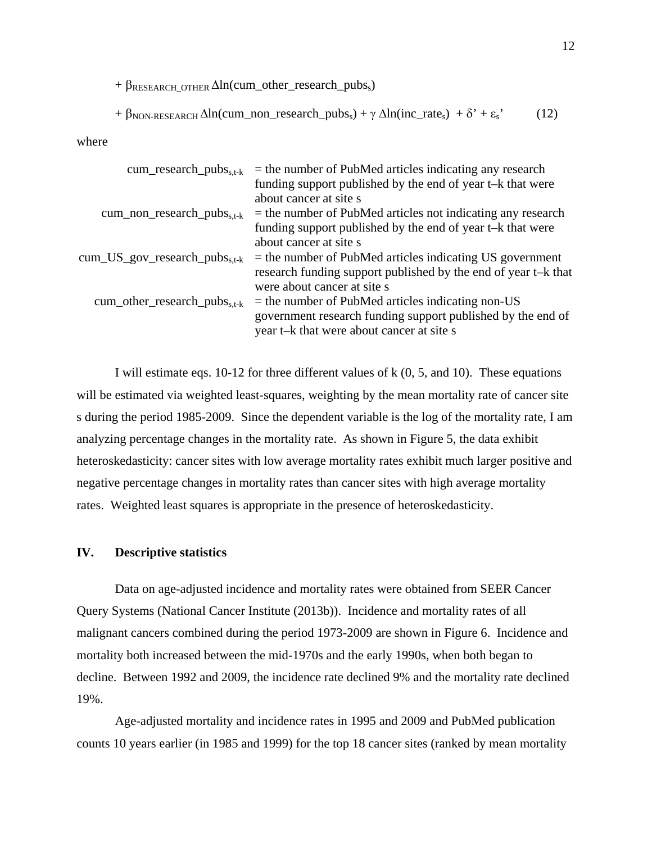$+ \beta_{RESEARCH}$  other  $\Delta ln$ (cum\_other\_research\_pubs<sub>s</sub>)

+ 
$$
\beta_{\text{NON-RESEARCH}} \Delta \ln(\text{cum\_non\_research\_pubs_s}) + \gamma \Delta \ln(\text{inc\_rate_s}) + \delta' + \epsilon_s'
$$
 (12)

where

| cum_research_pubs <sub>s,t-k</sub>     | $=$ the number of PubMed articles indicating any research      |
|----------------------------------------|----------------------------------------------------------------|
|                                        | funding support published by the end of year t-k that were     |
|                                        | about cancer at site s                                         |
| $cum\_non\_research\_pubs_{s,t-k}$     | $=$ the number of PubMed articles not indicating any research  |
|                                        | funding support published by the end of year t-k that were     |
|                                        | about cancer at site s                                         |
| $cum\_US\_gov\_research\_pubs_{s.t-k}$ | $=$ the number of PubMed articles indicating US government     |
|                                        | research funding support published by the end of year t-k that |
|                                        | were about cancer at site s                                    |
| $cum\_other\_research\_pubs_{s.t-k}$   | $=$ the number of PubMed articles indicating non-US            |
|                                        | government research funding support published by the end of    |
|                                        | year t-k that were about cancer at site s                      |

I will estimate eqs. 10-12 for three different values of k (0, 5, and 10). These equations will be estimated via weighted least-squares, weighting by the mean mortality rate of cancer site s during the period 1985-2009. Since the dependent variable is the log of the mortality rate, I am analyzing percentage changes in the mortality rate. As shown in Figure 5, the data exhibit heteroskedasticity: cancer sites with low average mortality rates exhibit much larger positive and negative percentage changes in mortality rates than cancer sites with high average mortality rates. Weighted least squares is appropriate in the presence of heteroskedasticity.

### **IV. Descriptive statistics**

Data on age-adjusted incidence and mortality rates were obtained from SEER Cancer Query Systems (National Cancer Institute (2013b)). Incidence and mortality rates of all malignant cancers combined during the period 1973-2009 are shown in Figure 6. Incidence and mortality both increased between the mid-1970s and the early 1990s, when both began to decline. Between 1992 and 2009, the incidence rate declined 9% and the mortality rate declined 19%.

Age-adjusted mortality and incidence rates in 1995 and 2009 and PubMed publication counts 10 years earlier (in 1985 and 1999) for the top 18 cancer sites (ranked by mean mortality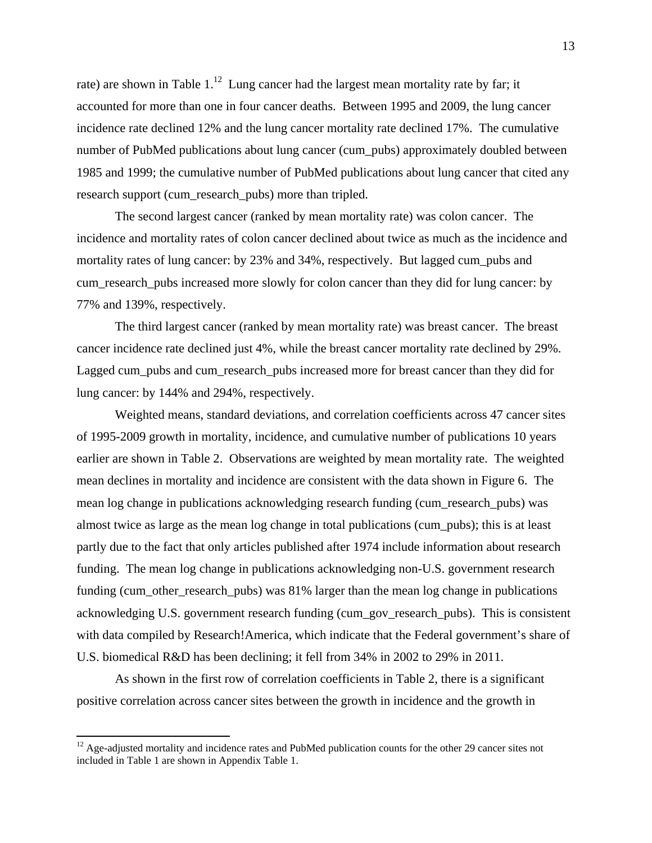rate) are shown in Table  $1<sup>12</sup>$  Lung cancer had the largest mean mortality rate by far; it accounted for more than one in four cancer deaths. Between 1995 and 2009, the lung cancer incidence rate declined 12% and the lung cancer mortality rate declined 17%. The cumulative number of PubMed publications about lung cancer (cum\_pubs) approximately doubled between 1985 and 1999; the cumulative number of PubMed publications about lung cancer that cited any research support (cum\_research\_pubs) more than tripled.

The second largest cancer (ranked by mean mortality rate) was colon cancer. The incidence and mortality rates of colon cancer declined about twice as much as the incidence and mortality rates of lung cancer: by 23% and 34%, respectively. But lagged cum\_pubs and cum\_research\_pubs increased more slowly for colon cancer than they did for lung cancer: by 77% and 139%, respectively.

The third largest cancer (ranked by mean mortality rate) was breast cancer. The breast cancer incidence rate declined just 4%, while the breast cancer mortality rate declined by 29%. Lagged cum\_pubs and cum\_research\_pubs increased more for breast cancer than they did for lung cancer: by 144% and 294%, respectively.

Weighted means, standard deviations, and correlation coefficients across 47 cancer sites of 1995-2009 growth in mortality, incidence, and cumulative number of publications 10 years earlier are shown in Table 2. Observations are weighted by mean mortality rate. The weighted mean declines in mortality and incidence are consistent with the data shown in Figure 6. The mean log change in publications acknowledging research funding (cum\_research\_pubs) was almost twice as large as the mean log change in total publications (cum\_pubs); this is at least partly due to the fact that only articles published after 1974 include information about research funding. The mean log change in publications acknowledging non-U.S. government research funding (cum\_other\_research\_pubs) was 81% larger than the mean log change in publications acknowledging U.S. government research funding (cum\_gov\_research\_pubs). This is consistent with data compiled by Research!America, which indicate that the Federal government's share of U.S. biomedical R&D has been declining; it fell from 34% in 2002 to 29% in 2011.

As shown in the first row of correlation coefficients in Table 2, there is a significant positive correlation across cancer sites between the growth in incidence and the growth in

 $12$  Age-adjusted mortality and incidence rates and PubMed publication counts for the other 29 cancer sites not included in Table 1 are shown in Appendix Table 1.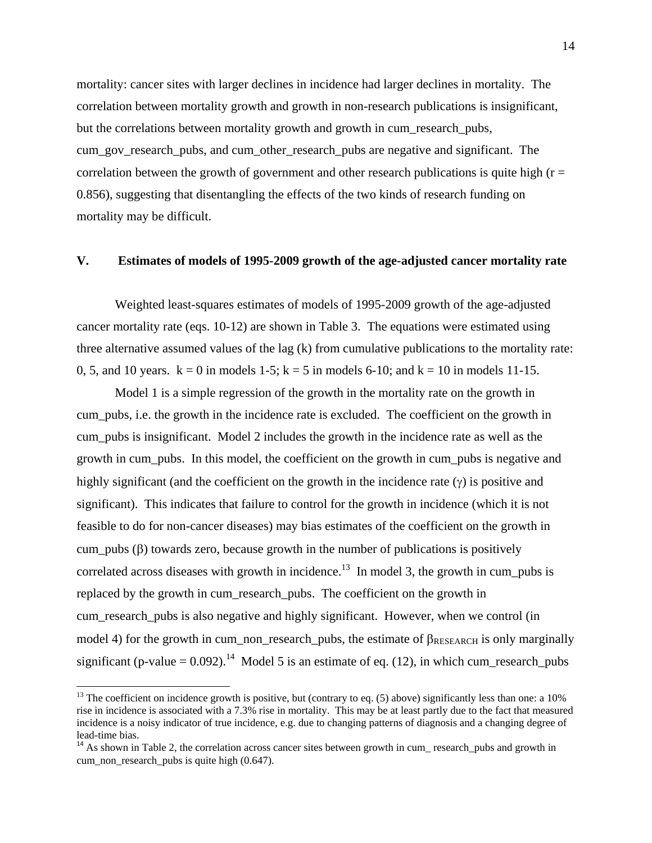mortality: cancer sites with larger declines in incidence had larger declines in mortality. The correlation between mortality growth and growth in non-research publications is insignificant, but the correlations between mortality growth and growth in cum\_research\_pubs, cum\_gov\_research\_pubs, and cum\_other\_research\_pubs are negative and significant. The correlation between the growth of government and other research publications is quite high  $(r =$ 0.856), suggesting that disentangling the effects of the two kinds of research funding on mortality may be difficult.

#### **V. Estimates of models of 1995-2009 growth of the age-adjusted cancer mortality rate**

Weighted least-squares estimates of models of 1995-2009 growth of the age-adjusted cancer mortality rate (eqs. 10-12) are shown in Table 3. The equations were estimated using three alternative assumed values of the lag (k) from cumulative publications to the mortality rate: 0, 5, and 10 years.  $k = 0$  in models 1-5;  $k = 5$  in models 6-10; and  $k = 10$  in models 11-15.

Model 1 is a simple regression of the growth in the mortality rate on the growth in cum\_pubs, i.e. the growth in the incidence rate is excluded. The coefficient on the growth in cum\_pubs is insignificant. Model 2 includes the growth in the incidence rate as well as the growth in cum\_pubs. In this model, the coefficient on the growth in cum\_pubs is negative and highly significant (and the coefficient on the growth in the incidence rate  $(\gamma)$  is positive and significant). This indicates that failure to control for the growth in incidence (which it is not feasible to do for non-cancer diseases) may bias estimates of the coefficient on the growth in cum\_pubs  $(\beta)$  towards zero, because growth in the number of publications is positively correlated across diseases with growth in incidence.<sup>13</sup> In model 3, the growth in cum pubs is replaced by the growth in cum\_research\_pubs. The coefficient on the growth in cum\_research\_pubs is also negative and highly significant. However, when we control (in model 4) for the growth in cum non-research pubs, the estimate of  $\beta_{RESEARCH}$  is only marginally significant (p-value =  $0.092$ ).<sup>14</sup> Model 5 is an estimate of eq. (12), in which cum\_research\_pubs

<sup>&</sup>lt;sup>13</sup> The coefficient on incidence growth is positive, but (contrary to eq.  $(5)$  above) significantly less than one: a 10% rise in incidence is associated with a 7.3% rise in mortality. This may be at least partly due to the fact that measured incidence is a noisy indicator of true incidence, e.g. due to changing patterns of diagnosis and a changing degree of lead-time bias.

<sup>&</sup>lt;sup>14</sup> As shown in Table 2, the correlation across cancer sites between growth in cum\_ research\_pubs and growth in cum non research pubs is quite high  $(0.647)$ .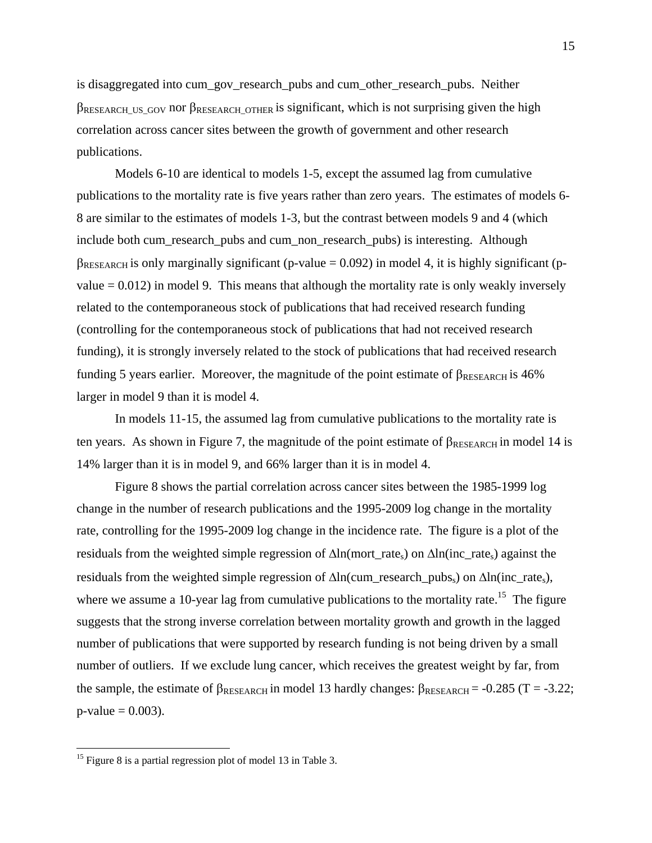is disaggregated into cum\_gov\_research\_pubs and cum\_other\_research\_pubs. Neither  $\beta$ RESEARCH US GOV nor  $\beta$ RESEARCH OTHER is significant, which is not surprising given the high correlation across cancer sites between the growth of government and other research publications.

Models 6-10 are identical to models 1-5, except the assumed lag from cumulative publications to the mortality rate is five years rather than zero years. The estimates of models 6- 8 are similar to the estimates of models 1-3, but the contrast between models 9 and 4 (which include both cum\_research\_pubs and cum\_non\_research\_pubs) is interesting. Although  $\beta_{RESEARCH}$  is only marginally significant (p-value = 0.092) in model 4, it is highly significant (pvalue  $= 0.012$ ) in model 9. This means that although the mortality rate is only weakly inversely related to the contemporaneous stock of publications that had received research funding (controlling for the contemporaneous stock of publications that had not received research funding), it is strongly inversely related to the stock of publications that had received research funding 5 years earlier. Moreover, the magnitude of the point estimate of  $\beta_{RESEARCH}$  is 46% larger in model 9 than it is model 4.

In models 11-15, the assumed lag from cumulative publications to the mortality rate is ten years. As shown in Figure 7, the magnitude of the point estimate of  $\beta_{\text{RFSEARCH}}$  in model 14 is 14% larger than it is in model 9, and 66% larger than it is in model 4.

Figure 8 shows the partial correlation across cancer sites between the 1985-1999 log change in the number of research publications and the 1995-2009 log change in the mortality rate, controlling for the 1995-2009 log change in the incidence rate. The figure is a plot of the residuals from the weighted simple regression of  $\Delta \text{ln}(\text{mort}\_\text{rates})$  on  $\Delta \text{ln}(\text{inc}\_\text{rates})$  against the residuals from the weighted simple regression of  $\Delta ln$ (cum research pubss) on  $\Delta ln$ (inc rates), where we assume a 10-year lag from cumulative publications to the mortality rate.<sup>15</sup> The figure suggests that the strong inverse correlation between mortality growth and growth in the lagged number of publications that were supported by research funding is not being driven by a small number of outliers. If we exclude lung cancer, which receives the greatest weight by far, from the sample, the estimate of  $\beta_{RESEARCH}$  in model 13 hardly changes:  $\beta_{RESEARCH} = -0.285$  (T = -3.22;  $p-value = 0.003$ .

<sup>&</sup>lt;sup>15</sup> Figure 8 is a partial regression plot of model 13 in Table 3.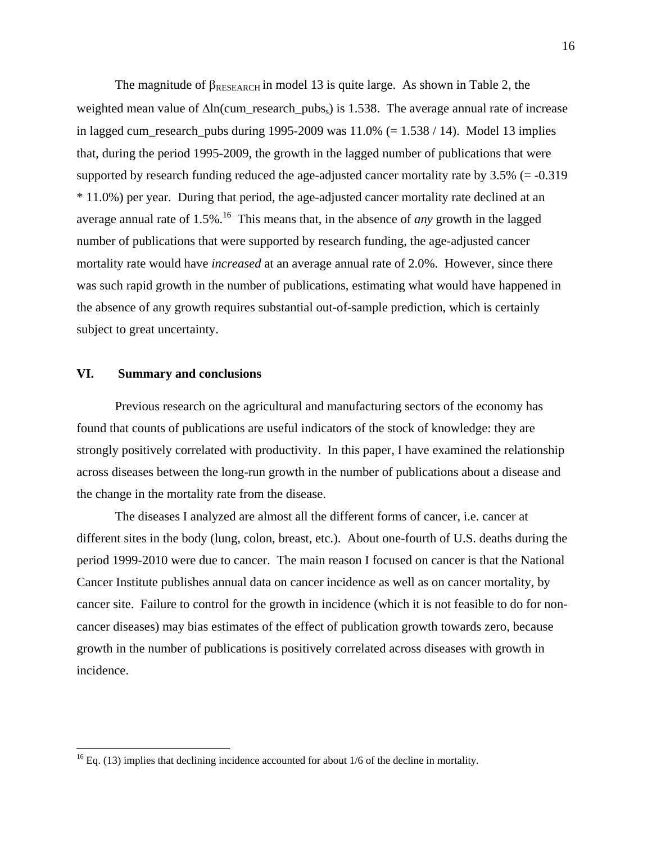The magnitude of  $\beta_{RESEARCH}$  in model 13 is quite large. As shown in Table 2, the weighted mean value of  $\Delta \ln$ (cum\_research\_pubs<sub>s</sub>) is 1.538. The average annual rate of increase in lagged cum\_research\_pubs during  $1995-2009$  was  $11.0%$  (= 1.538 / 14). Model 13 implies that, during the period 1995-2009, the growth in the lagged number of publications that were supported by research funding reduced the age-adjusted cancer mortality rate by 3.5% (= -0.319 \* 11.0%) per year. During that period, the age-adjusted cancer mortality rate declined at an average annual rate of 1.5%.<sup>16</sup> This means that, in the absence of *any* growth in the lagged number of publications that were supported by research funding, the age-adjusted cancer mortality rate would have *increased* at an average annual rate of 2.0%. However, since there was such rapid growth in the number of publications, estimating what would have happened in the absence of any growth requires substantial out-of-sample prediction, which is certainly subject to great uncertainty.

#### **VI. Summary and conclusions**

Previous research on the agricultural and manufacturing sectors of the economy has found that counts of publications are useful indicators of the stock of knowledge: they are strongly positively correlated with productivity. In this paper, I have examined the relationship across diseases between the long-run growth in the number of publications about a disease and the change in the mortality rate from the disease.

The diseases I analyzed are almost all the different forms of cancer, i.e. cancer at different sites in the body (lung, colon, breast, etc.). About one-fourth of U.S. deaths during the period 1999-2010 were due to cancer. The main reason I focused on cancer is that the National Cancer Institute publishes annual data on cancer incidence as well as on cancer mortality, by cancer site. Failure to control for the growth in incidence (which it is not feasible to do for noncancer diseases) may bias estimates of the effect of publication growth towards zero, because growth in the number of publications is positively correlated across diseases with growth in incidence.

 $16$  Eq. (13) implies that declining incidence accounted for about 1/6 of the decline in mortality.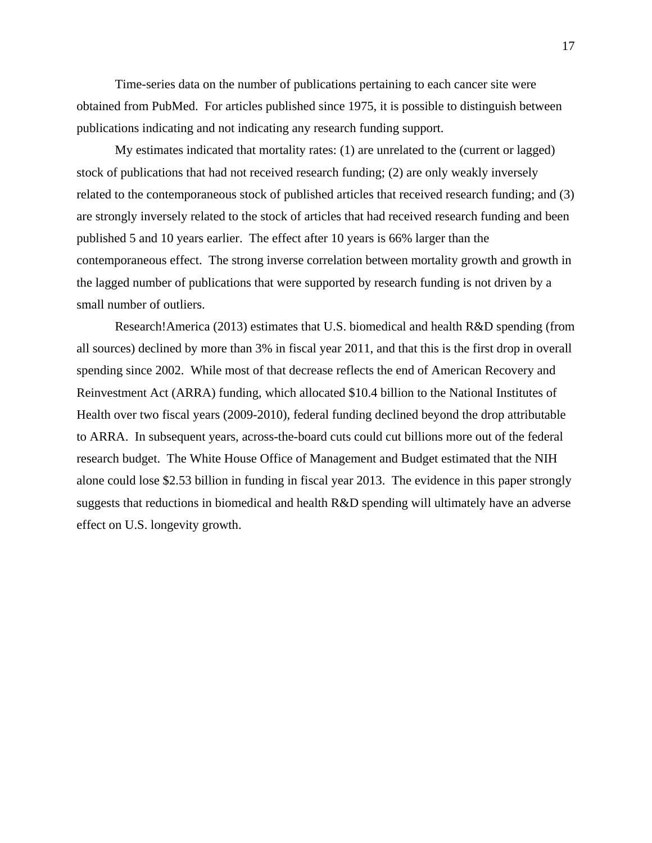Time-series data on the number of publications pertaining to each cancer site were obtained from PubMed. For articles published since 1975, it is possible to distinguish between publications indicating and not indicating any research funding support.

My estimates indicated that mortality rates: (1) are unrelated to the (current or lagged) stock of publications that had not received research funding; (2) are only weakly inversely related to the contemporaneous stock of published articles that received research funding; and (3) are strongly inversely related to the stock of articles that had received research funding and been published 5 and 10 years earlier. The effect after 10 years is 66% larger than the contemporaneous effect. The strong inverse correlation between mortality growth and growth in the lagged number of publications that were supported by research funding is not driven by a small number of outliers.

Research!America (2013) estimates that U.S. biomedical and health R&D spending (from all sources) declined by more than 3% in fiscal year 2011, and that this is the first drop in overall spending since 2002. While most of that decrease reflects the end of American Recovery and Reinvestment Act (ARRA) funding, which allocated \$10.4 billion to the National Institutes of Health over two fiscal years (2009-2010), federal funding declined beyond the drop attributable to ARRA. In subsequent years, across-the-board cuts could cut billions more out of the federal research budget. The White House Office of Management and Budget estimated that the NIH alone could lose \$2.53 billion in funding in fiscal year 2013. The evidence in this paper strongly suggests that reductions in biomedical and health R&D spending will ultimately have an adverse effect on U.S. longevity growth.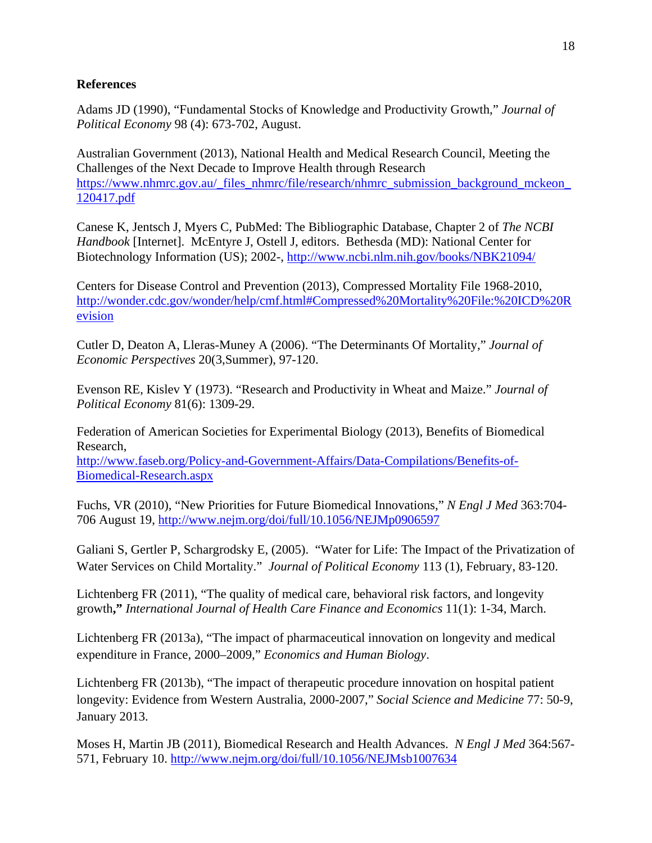# **References**

Adams JD (1990), "Fundamental Stocks of Knowledge and Productivity Growth," *Journal of Political Economy* 98 (4): 673-702, August.

Australian Government (2013), National Health and Medical Research Council, Meeting the Challenges of the Next Decade to Improve Health through Research https://www.nhmrc.gov.au/\_files\_nhmrc/file/research/nhmrc\_submission\_background\_mckeon 120417.pdf

Canese K, Jentsch J, Myers C, PubMed: The Bibliographic Database, Chapter 2 of *The NCBI Handbook* [Internet]. McEntyre J, Ostell J, editors. Bethesda (MD): National Center for Biotechnology Information (US); 2002-, http://www.ncbi.nlm.nih.gov/books/NBK21094/

Centers for Disease Control and Prevention (2013), Compressed Mortality File 1968-2010, http://wonder.cdc.gov/wonder/help/cmf.html#Compressed%20Mortality%20File:%20ICD%20R evision

Cutler D, Deaton A, Lleras-Muney A (2006). "The Determinants Of Mortality," *Journal of Economic Perspectives* 20(3,Summer), 97-120.

Evenson RE, Kislev Y (1973). "Research and Productivity in Wheat and Maize." *Journal of Political Economy* 81(6): 1309-29.

Federation of American Societies for Experimental Biology (2013), Benefits of Biomedical Research,

http://www.faseb.org/Policy-and-Government-Affairs/Data-Compilations/Benefits-of-Biomedical-Research.aspx

Fuchs, VR (2010), "New Priorities for Future Biomedical Innovations," *N Engl J Med* 363:704- 706 August 19, http://www.nejm.org/doi/full/10.1056/NEJMp0906597

Galiani S, Gertler P, Schargrodsky E, (2005). "Water for Life: The Impact of the Privatization of Water Services on Child Mortality." *Journal of Political Economy* 113 (1), February, 83-120.

Lichtenberg FR (2011), "The quality of medical care, behavioral risk factors, and longevity growth**,"** *International Journal of Health Care Finance and Economics* 11(1): 1-34, March.

Lichtenberg FR (2013a), "The impact of pharmaceutical innovation on longevity and medical expenditure in France, 2000–2009," *Economics and Human Biology*.

Lichtenberg FR (2013b), "The impact of therapeutic procedure innovation on hospital patient longevity: Evidence from Western Australia, 2000-2007," *Social Science and Medicine* 77: 50-9, January 2013.

Moses H, Martin JB (2011), Biomedical Research and Health Advances. *N Engl J Med* 364:567- 571, February 10. http://www.nejm.org/doi/full/10.1056/NEJMsb1007634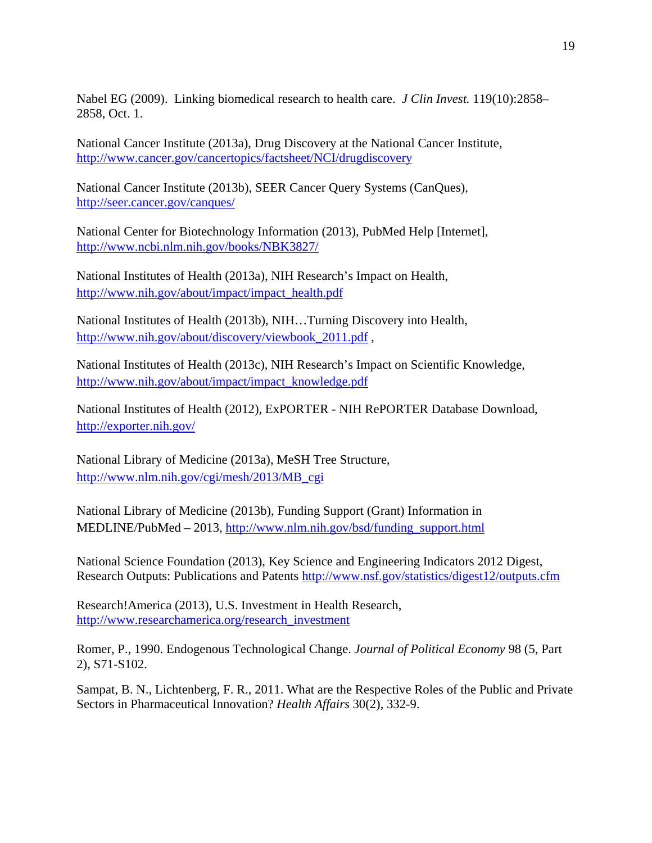Nabel EG (2009). Linking biomedical research to health care. *J Clin Invest.* 119(10):2858– 2858, Oct. 1.

National Cancer Institute (2013a), Drug Discovery at the National Cancer Institute, http://www.cancer.gov/cancertopics/factsheet/NCI/drugdiscovery

National Cancer Institute (2013b), SEER Cancer Query Systems (CanQues), http://seer.cancer.gov/canques/

National Center for Biotechnology Information (2013), PubMed Help [Internet], http://www.ncbi.nlm.nih.gov/books/NBK3827/

National Institutes of Health (2013a), NIH Research's Impact on Health, http://www.nih.gov/about/impact/impact\_health.pdf

National Institutes of Health (2013b), NIH…Turning Discovery into Health, http://www.nih.gov/about/discovery/viewbook\_2011.pdf ,

National Institutes of Health (2013c), NIH Research's Impact on Scientific Knowledge, http://www.nih.gov/about/impact/impact\_knowledge.pdf

National Institutes of Health (2012), ExPORTER - NIH RePORTER Database Download, http://exporter.nih.gov/

National Library of Medicine (2013a), MeSH Tree Structure, http://www.nlm.nih.gov/cgi/mesh/2013/MB\_cgi

National Library of Medicine (2013b), Funding Support (Grant) Information in MEDLINE/PubMed – 2013, http://www.nlm.nih.gov/bsd/funding\_support.html

National Science Foundation (2013), Key Science and Engineering Indicators 2012 Digest, Research Outputs: Publications and Patents http://www.nsf.gov/statistics/digest12/outputs.cfm

Research!America (2013), U.S. Investment in Health Research, http://www.researchamerica.org/research\_investment

Romer, P., 1990. Endogenous Technological Change. *Journal of Political Economy* 98 (5, Part 2), S71-S102.

Sampat, B. N., Lichtenberg, F. R., 2011. What are the Respective Roles of the Public and Private Sectors in Pharmaceutical Innovation? *Health Affairs* 30(2), 332-9.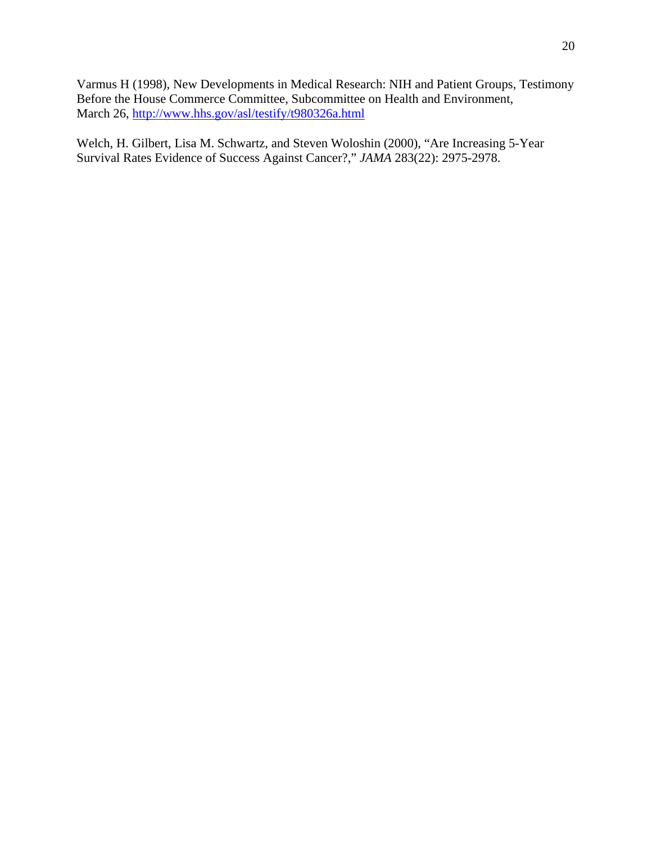Varmus H (1998), New Developments in Medical Research: NIH and Patient Groups, Testimony Before the House Commerce Committee, Subcommittee on Health and Environment, March 26, http://www.hhs.gov/asl/testify/t980326a.html

Welch, H. Gilbert, Lisa M. Schwartz, and Steven Woloshin (2000), "Are Increasing 5-Year Survival Rates Evidence of Success Against Cancer?," *JAMA* 283(22): 2975-2978.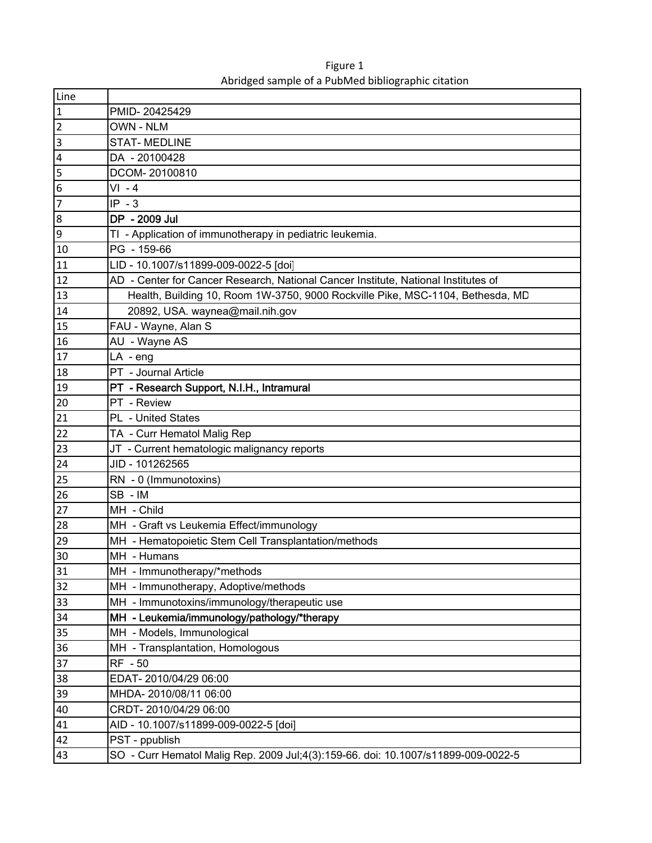| Line             |                                                                                    |
|------------------|------------------------------------------------------------------------------------|
| $\mathbf{1}$     | PMID-20425429                                                                      |
| $\overline{2}$   | <b>OWN - NLM</b>                                                                   |
| $\overline{3}$   | <b>STAT-MEDLINE</b>                                                                |
| $\overline{4}$   | DA - 20100428                                                                      |
| 5                | DCOM-20100810                                                                      |
| $6\phantom{.}6$  | $VI - 4$                                                                           |
| 7                | $IP - 3$                                                                           |
| $\boldsymbol{8}$ | DP - 2009 Jul                                                                      |
| $\overline{9}$   | TI - Application of immunotherapy in pediatric leukemia.                           |
| 10               | PG - 159-66                                                                        |
| 11               | LID - 10.1007/s11899-009-0022-5 [doi]                                              |
| 12               | AD - Center for Cancer Research, National Cancer Institute, National Institutes of |
| 13               | Health, Building 10, Room 1W-3750, 9000 Rockville Pike, MSC-1104, Bethesda, MD     |
| 14               | 20892, USA. waynea@mail.nih.gov                                                    |
| 15               | FAU - Wayne, Alan S                                                                |
| 16               | AU - Wayne AS                                                                      |
| 17               | $LA - eng$                                                                         |
| 18               | PT - Journal Article                                                               |
| 19               | PT - Research Support, N.I.H., Intramural                                          |
| 20               | PT - Review                                                                        |
| 21               | PL - United States                                                                 |
| 22               | TA - Curr Hematol Malig Rep                                                        |
| 23               | JT - Current hematologic malignancy reports                                        |
| 24               | JID - 101262565                                                                    |
| 25               | RN - 0 (Immunotoxins)                                                              |
| 26               | SB-IM                                                                              |
| 27               | MH - Child                                                                         |
| 28               | MH - Graft vs Leukemia Effect/immunology                                           |
| 29               | MH - Hematopoietic Stem Cell Transplantation/methods                               |
| 30               | MH - Humans                                                                        |
| 31               | MH - Immunotherapy/*methods                                                        |
| 32               | MH - Immunotherapy, Adoptive/methods                                               |
| 33               | MH - Immunotoxins/immunology/therapeutic use                                       |
| 34               | MH - Leukemia/immunology/pathology/*therapy                                        |
| 35               | MH - Models, Immunological                                                         |
| 36               | MH - Transplantation, Homologous                                                   |
| 37               | RF - 50                                                                            |
| 38               | EDAT-2010/04/29 06:00                                                              |
| 39               | MHDA-2010/08/11 06:00                                                              |
| 40               | CRDT-2010/04/29 06:00                                                              |
| 41               | AID - 10.1007/s11899-009-0022-5 [doi]                                              |
| 42               | PST - ppublish                                                                     |
| 43               | SO - Curr Hematol Malig Rep. 2009 Jul;4(3):159-66. doi: 10.1007/s11899-009-0022-5  |

Figure 1 Abridged sample of a PubMed bibliographic citation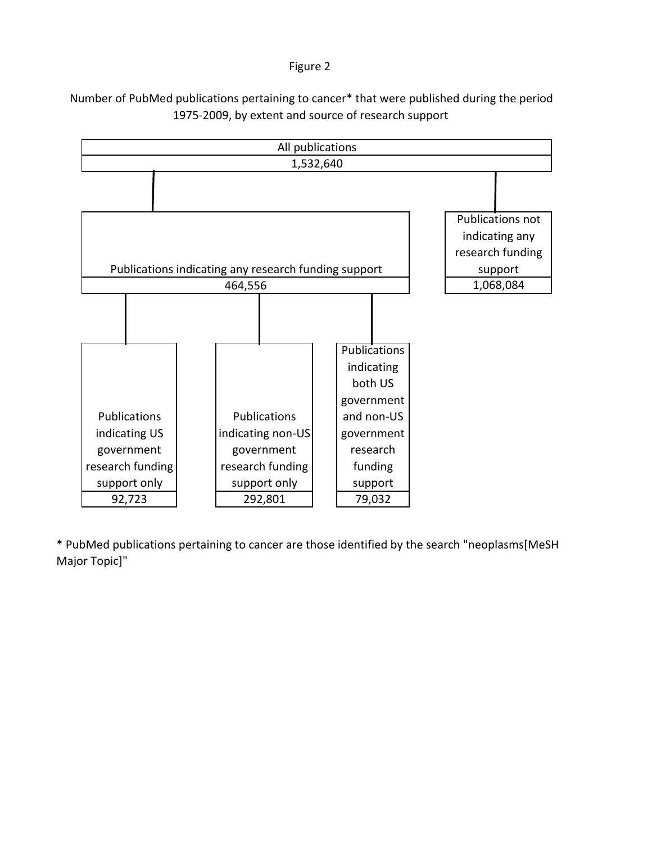### Figure 2



Number of PubMed publications pertaining to cancer\* that were published during the period 1975‐2009, by extent and source of research support

\* PubMed publications pertaining to cancer are those identified by the search "neoplasms[MeSH Major Topic]"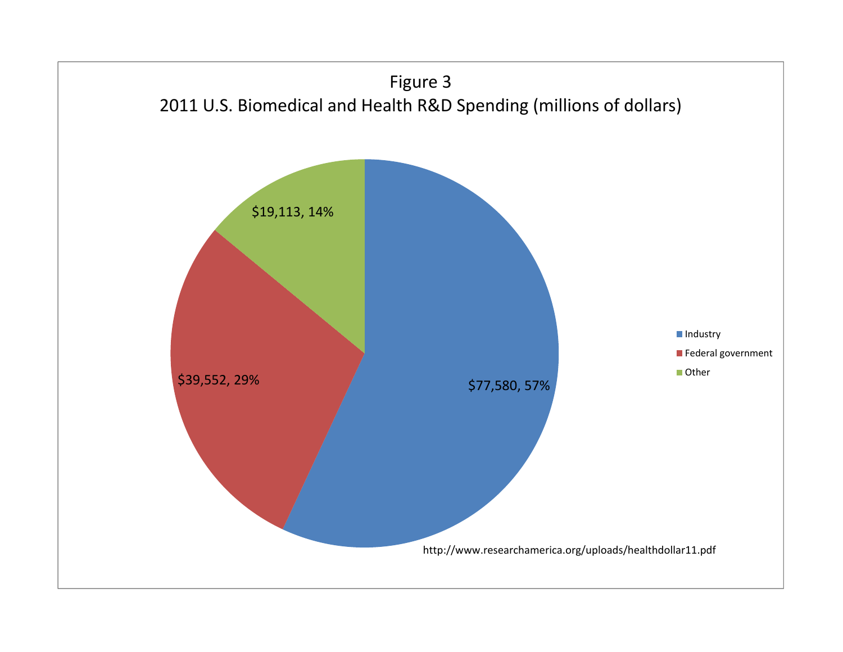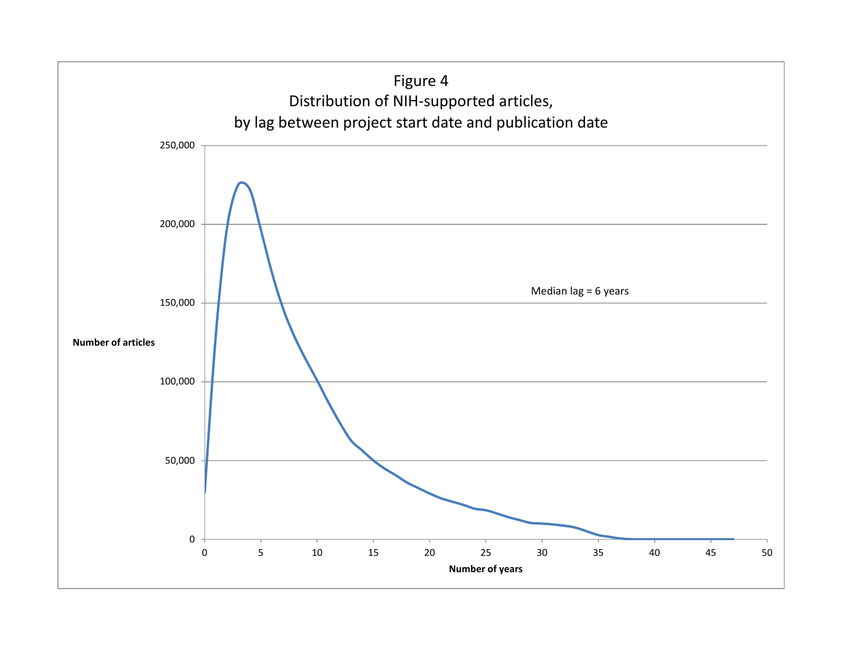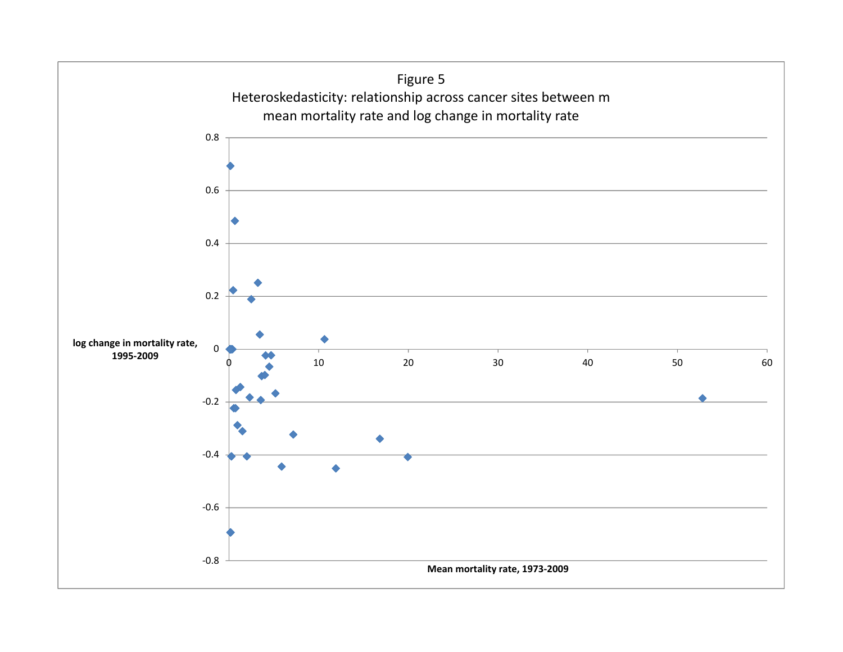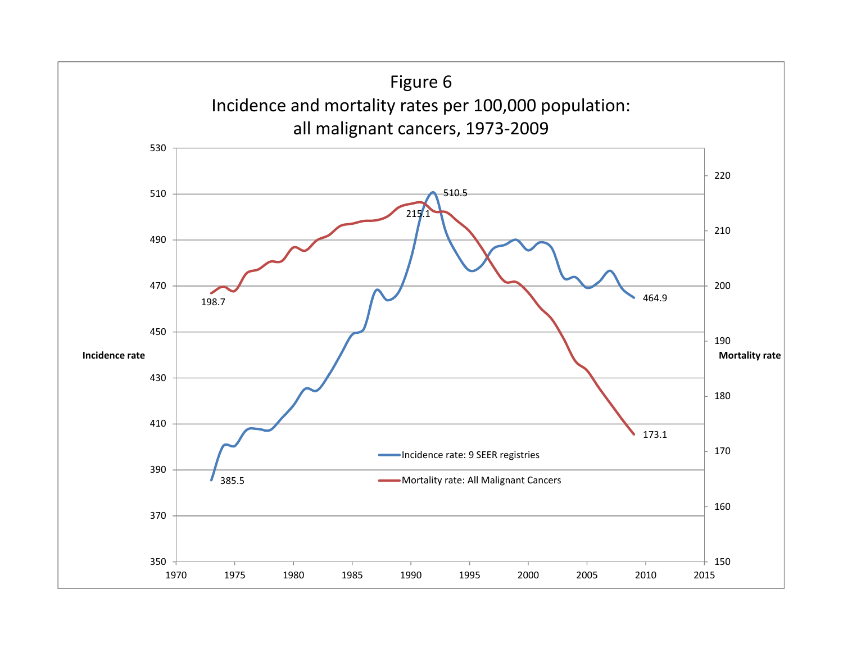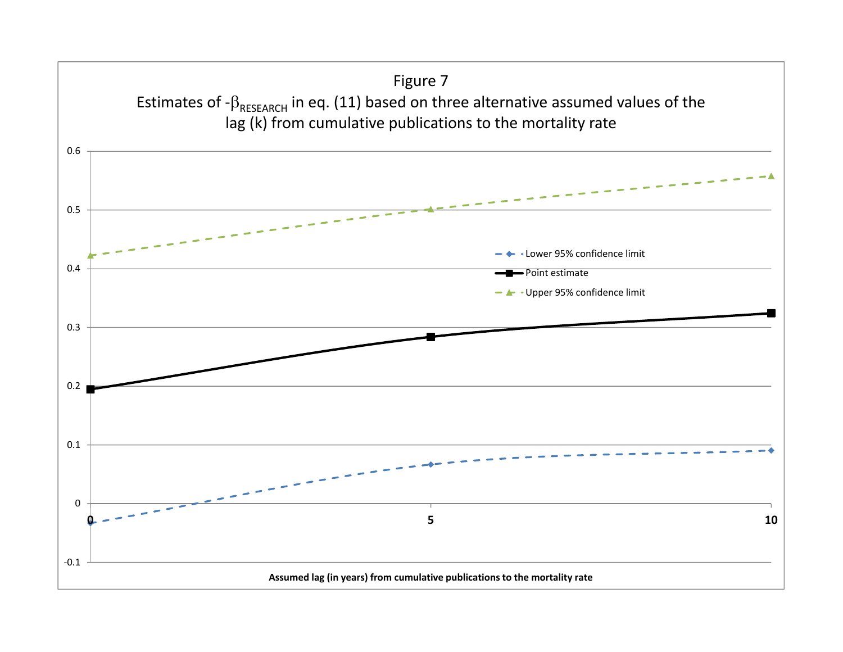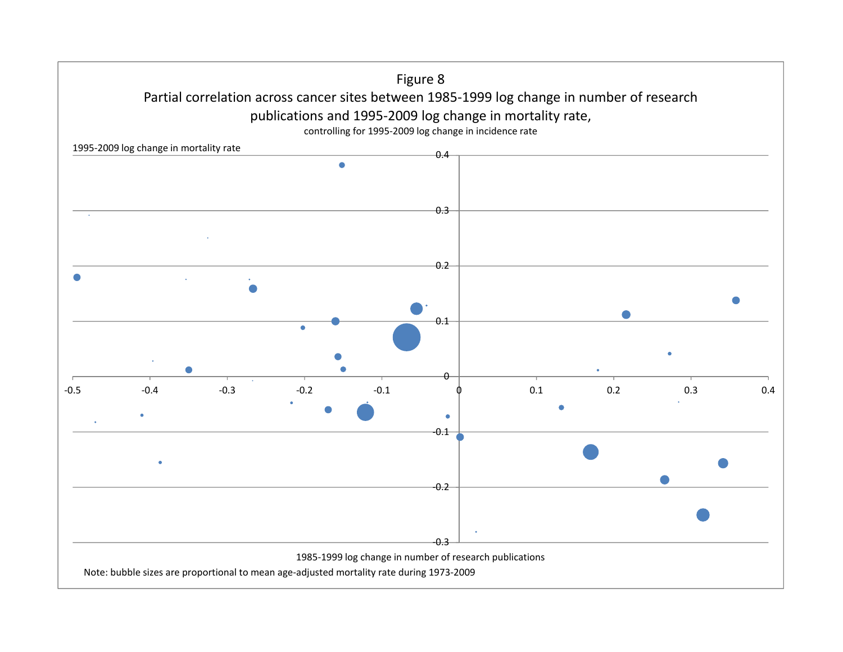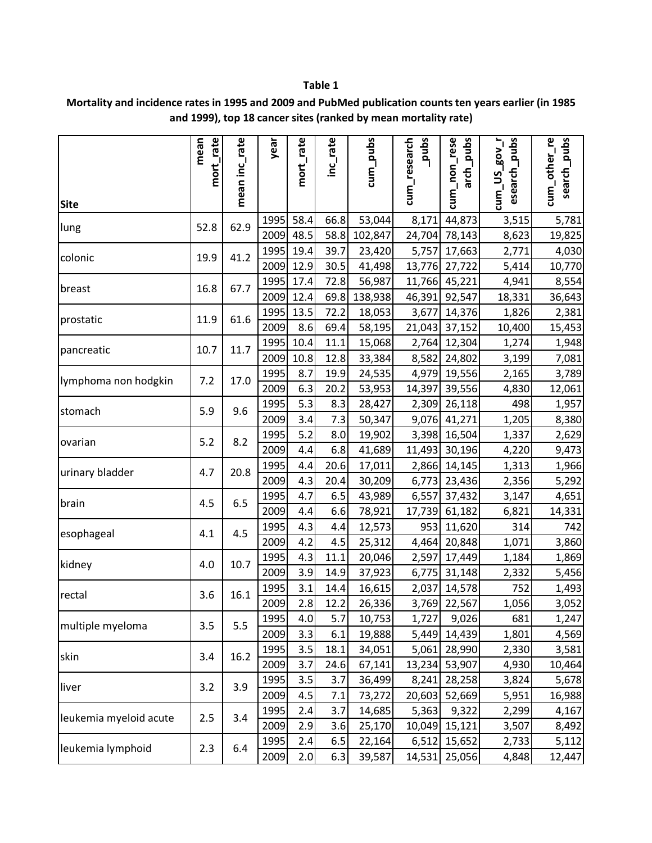|                        | mort_rate<br>mean | mean inc_rate | year         | mort_rate  | inc_rate     | cum_pubs         | sqnd <sup>-</sup><br>cum_research | cum_non_rese<br>arch_pubs | esearch_pubs<br>$1$ No $3$<br>$cum$ _US | cum_other_re<br>search_pubs |
|------------------------|-------------------|---------------|--------------|------------|--------------|------------------|-----------------------------------|---------------------------|-----------------------------------------|-----------------------------|
| <b>Site</b>            |                   |               |              |            |              |                  |                                   |                           |                                         |                             |
| lung                   | 52.8              | 62.9          | 1995         | 58.4       | 66.8         | 53,044           | 8,171                             | 44,873                    | 3,515                                   | 5,781                       |
|                        |                   |               | 2009         | 48.5       | 58.8         | 102,847          | 24,704                            | 78,143                    | 8,623                                   | 19,825                      |
| colonic                | 19.9              | 41.2          | 1995         | 19.4       | 39.7         | 23,420           | 5,757                             | 17,663                    | 2,771                                   | 4,030                       |
|                        |                   |               | 2009         | 12.9       | 30.5         | 41,498           | 13,776                            | 27,722                    | 5,414                                   | 10,770                      |
| breast                 | 16.8              | 67.7          | 1995         | 17.4       | 72.8         | 56,987           | 11,766                            | 45,221                    | 4,941                                   | 8,554                       |
|                        |                   |               | 2009         | 12.4       | 69.8         | 138,938          | 46,391                            | 92,547                    | 18,331                                  | 36,643                      |
| prostatic              | 11.9              | 61.6          | 1995         | 13.5       | 72.2         | 18,053           | 3,677                             | 14,376                    | 1,826                                   | 2,381                       |
|                        |                   |               | 2009         | 8.6        | 69.4         | 58,195           | 21,043                            | 37,152                    | 10,400                                  | 15,453                      |
| pancreatic             | 10.7              | 11.7          | 1995         | 10.4       | 11.1         | 15,068           | 2,764                             | 12,304                    | 1,274                                   | 1,948                       |
|                        |                   |               | 2009         | 10.8       | 12.8         | 33,384           | 8,582                             | 24,802                    | 3,199                                   | 7,081                       |
| lymphoma non hodgkin   | 7.2               | 17.0          | 1995         | 8.7        | 19.9         | 24,535           |                                   | 4,979 19,556              | 2,165                                   | 3,789                       |
|                        |                   |               | 2009         | 6.3        | 20.2         | 53,953           | 14,397                            | 39,556                    | 4,830                                   | 12,061                      |
| stomach                | 5.9               | 9.6           | 1995         | 5.3        | 8.3          | 28,427           | 2,309                             | 26,118                    | 498                                     | 1,957                       |
|                        |                   |               | 2009         | 3.4        | 7.3          | 50,347           | 9,076                             | 41,271                    | 1,205                                   | 8,380                       |
| ovarian                | 5.2               | 8.2           | 1995         | 5.2        | 8.0          | 19,902           | 3,398                             | 16,504                    | 1,337                                   | 2,629                       |
|                        |                   |               | 2009         | 4.4        | 6.8          | 41,689           | 11,493                            | 30,196                    | 4,220                                   | 9,473                       |
| urinary bladder        | 4.7               | 20.8          | 1995         | 4.4        | 20.6         | 17,011           | 2,866                             | 14,145                    | 1,313                                   | 1,966                       |
|                        |                   |               | 2009         | 4.3        | 20.4         | 30,209           | 6,773                             | 23,436                    | 2,356                                   | 5,292                       |
| brain                  | 4.5               | 6.5           | 1995         | 4.7        | 6.5          | 43,989           | 6,557                             | 37,432                    | 3,147                                   | 4,651                       |
|                        |                   |               | 2009         | 4.4        | 6.6          | 78,921           | 17,739                            | 61,182                    | 6,821                                   | 14,331                      |
| esophageal             | 4.1               | 4.5           | 1995         | 4.3        | 4.4          | 12,573           | 953                               | 11,620                    | 314                                     | 742                         |
|                        |                   |               | 2009         | 4.2<br>4.3 | 4.5<br>11.1  | 25,312           | 4,464                             | 20,848                    | 1,071                                   | 3,860                       |
| kidney                 | 4.0               | 10.7          | 1995<br>2009 | 3.9        |              | 20,046           | 2,597                             | 17,449                    | 1,184                                   | 1,869                       |
|                        |                   |               | 1995         | 3.1        | 14.9<br>14.4 | 37,923           | 6,775<br>2,037                    | 31,148<br>14,578          | 2,332<br>752                            | 5,456<br>1,493              |
| rectal                 | 3.6               | 16.1          | 2009         | 2.8        | 12.2         | 16,615<br>26,336 |                                   | 3,769 22,567              | 1,056                                   | 3,052                       |
|                        |                   |               | 1995         | 4.0        | 5.7          | 10,753           | 1,727                             | 9,026                     | 681                                     | 1,247                       |
| multiple myeloma       | 3.5               | 5.5           | 2009         | 3.3        | 6.1          | 19,888           | 5,449                             | 14,439                    | 1,801                                   | 4,569                       |
|                        |                   |               | 1995         | 3.5        | 18.1         | 34,051           | 5,061                             | 28,990                    | 2,330                                   | 3,581                       |
| skin                   | 3.4               | 16.2          | 2009         | 3.7        | 24.6         | 67,141           | 13,234                            | 53,907                    | 4,930                                   | 10,464                      |
|                        |                   |               | 1995         | 3.5        | 3.7          | 36,499           | 8,241                             | 28,258                    | 3,824                                   | 5,678                       |
| liver                  | 3.2               | 3.9           | 2009         | 4.5        | 7.1          | 73,272           | 20,603                            | 52,669                    | 5,951                                   | 16,988                      |
|                        |                   |               | 1995         | 2.4        | 3.7          | 14,685           | 5,363                             | 9,322                     | 2,299                                   | 4,167                       |
| leukemia myeloid acute | 2.5               | 3.4           | 2009         | 2.9        | 3.6          | 25,170           | 10,049                            | 15,121                    | 3,507                                   | 8,492                       |
|                        |                   |               | 1995         | 2.4        | 6.5          | 22,164           | 6,512                             | 15,652                    | 2,733                                   | 5,112                       |
| leukemia lymphoid      | 2.3               | 6.4           | 2009         | 2.0        | 6.3          | 39,587           | 14,531                            | 25,056                    | 4,848                                   | 12,447                      |

# **Mortality and incidence rates in 1995 and 2009 and PubMed publication counts ten years earlier (in 1985 and 1999), top 18 cancer sites (ranked by mean mortality rate)**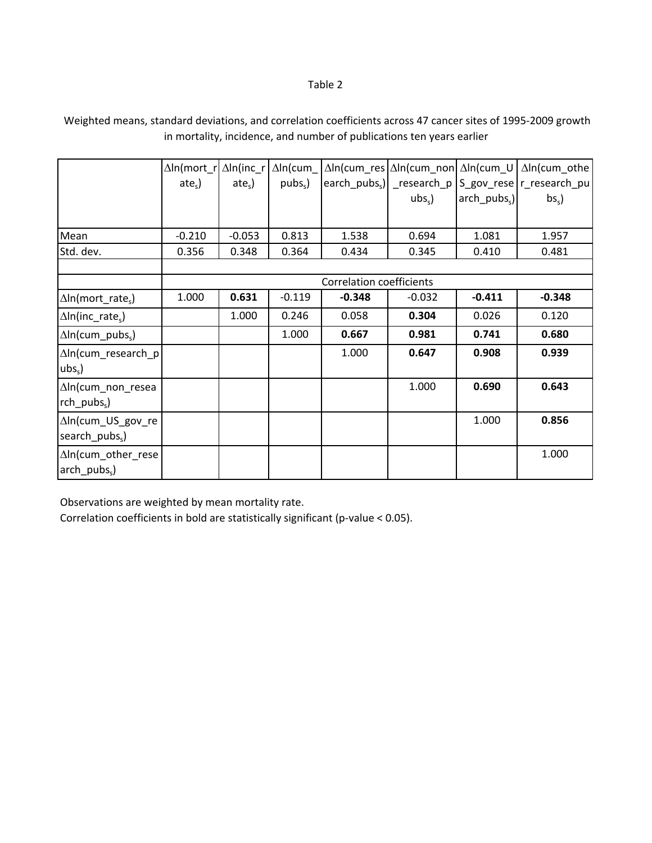# Weighted means, standard deviations, and correlation coefficients across 47 cancer sites of 1995‐2009 growth in mortality, incidence, and number of publications ten years earlier

|                                                 | $\Delta$ In(mort r<br>$ates$ ) | $\Delta$ ln(inc r<br>$ates$ ) | $\Delta$ In(cum<br>$pubss$ ) |                                 | $ubss$ ) | $arch$ pubs <sub>s</sub> ) | $\Delta$ ln(cum_res $\Delta$ ln(cum_non $\Delta$ ln(cum_U $\Delta$ ln(cum_othe<br>earch_pubs <sub>s</sub> )  _research_p   S_gov_rese   r_research_pu  <br>$bss$ ) |
|-------------------------------------------------|--------------------------------|-------------------------------|------------------------------|---------------------------------|----------|----------------------------|--------------------------------------------------------------------------------------------------------------------------------------------------------------------|
|                                                 |                                |                               |                              |                                 |          |                            |                                                                                                                                                                    |
| Mean                                            | $-0.210$                       | $-0.053$                      | 0.813                        | 1.538                           | 0.694    | 1.081                      | 1.957                                                                                                                                                              |
| Std. dev.                                       | 0.356                          | 0.348                         | 0.364                        | 0.434                           | 0.345    | 0.410                      | 0.481                                                                                                                                                              |
|                                                 |                                |                               |                              |                                 |          |                            |                                                                                                                                                                    |
|                                                 |                                |                               |                              | <b>Correlation coefficients</b> |          |                            |                                                                                                                                                                    |
| $\Delta$ In(mort_rate <sub>s</sub> )            | 1.000                          | 0.631                         | $-0.119$                     | $-0.348$                        | $-0.032$ | $-0.411$                   | $-0.348$                                                                                                                                                           |
| $\Delta$ In(inc rate <sub>s</sub> )             |                                | 1.000                         | 0.246                        | 0.058                           | 0.304    | 0.026                      | 0.120                                                                                                                                                              |
| $\Delta$ ln(cum pubs <sub>s</sub> )             |                                |                               | 1.000                        | 0.667                           | 0.981    | 0.741                      | 0.680                                                                                                                                                              |
| $\Delta$ In(cum research p<br>$ubss$ )          |                                |                               |                              | 1.000                           | 0.647    | 0.908                      | 0.939                                                                                                                                                              |
| ∆In(cum_non_resea<br>$rch_{{\sf pubs}_{\sf s}}$ |                                |                               |                              |                                 | 1.000    | 0.690                      | 0.643                                                                                                                                                              |
| ∆In(cum_US_gov_re<br>search_pubs <sub>s</sub> ) |                                |                               |                              |                                 |          | 1.000                      | 0.856                                                                                                                                                              |
| ∆In(cum_other_rese<br>$arch_pubs_s$ )           |                                |                               |                              |                                 |          |                            | 1.000                                                                                                                                                              |

Observations are weighted by mean mortality rate.

Correlation coefficients in bold are statistically significant (p‐value < 0.05).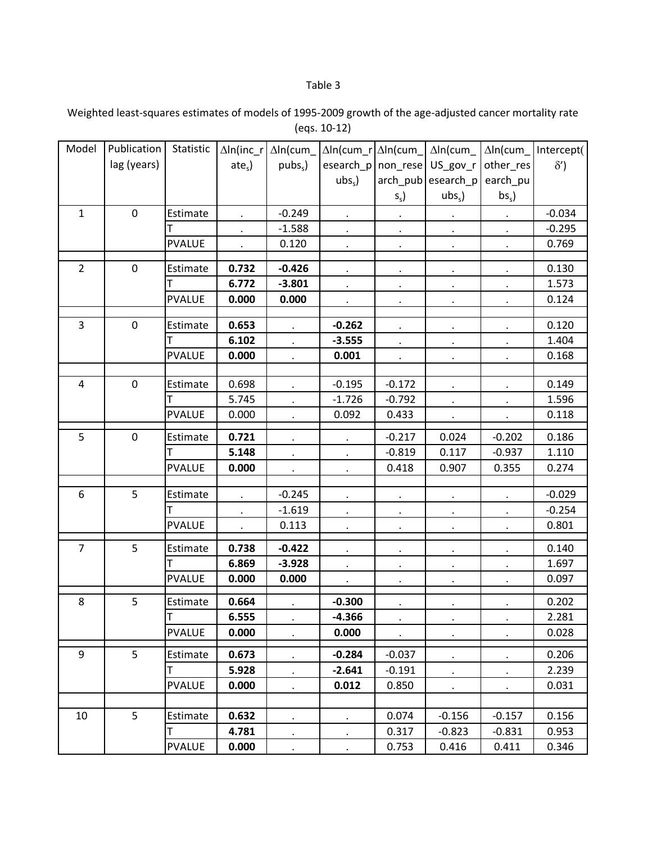Weighted least‐squares estimates of models of 1995‐2009 growth of the age‐adjusted cancer mortality rate (eqs. 10‐12)

| Model          | Publication | Statistic     |           | $\Delta$ In(inc_r $\Delta$ In(cum_ | $\Delta$ ln(cum_r $\Delta$ ln(cum_ |           | $\Delta$ In(cum      | $\Delta$ In(cum_     | Intercept( |
|----------------|-------------|---------------|-----------|------------------------------------|------------------------------------|-----------|----------------------|----------------------|------------|
|                | lag (years) |               | $ates$ )  | pubs <sub>s</sub>                  | esearch_p   non_rese   US_gov_r    |           |                      | other_res            | $\delta'$  |
|                |             |               |           |                                    | $ubss$ )                           |           | arch_pub esearch_p   | earch_pu             |            |
|                |             |               |           |                                    |                                    | $S_{S}$   | $ubss$ )             | bs <sub>s</sub>      |            |
| $\mathbf{1}$   | $\pmb{0}$   | Estimate      |           | $-0.249$                           |                                    |           |                      |                      | $-0.034$   |
|                |             |               |           | $-1.588$                           |                                    | $\bullet$ | $\bullet$            | $\ddot{\phantom{0}}$ | $-0.295$   |
|                |             | <b>PVALUE</b> |           | 0.120                              | $\bullet$                          | $\bullet$ | $\bullet$            | $\cdot$              | 0.769      |
|                |             |               |           |                                    |                                    |           |                      |                      |            |
| $\overline{2}$ | $\mathbf 0$ | Estimate      | 0.732     | $-0.426$                           | $\bullet$                          | $\bullet$ | $\blacksquare$       | $\ddot{\phantom{1}}$ | 0.130      |
|                |             | т             | 6.772     | $-3.801$                           |                                    |           |                      |                      | 1.573      |
|                |             | <b>PVALUE</b> | 0.000     | 0.000                              |                                    |           |                      | $\cdot$              | 0.124      |
| $\overline{3}$ | $\mathbf 0$ | Estimate      | 0.653     |                                    | $-0.262$                           |           |                      |                      | 0.120      |
|                |             |               | 6.102     | $\ddot{\phantom{0}}$               | $-3.555$                           |           |                      | $\blacksquare$       | 1.404      |
|                |             | <b>PVALUE</b> | 0.000     | $\bullet$                          | 0.001                              | $\bullet$ | $\bullet$            | $\bullet$            | 0.168      |
|                |             |               |           |                                    |                                    |           |                      |                      |            |
| $\overline{4}$ | $\mathbf 0$ | Estimate      | 0.698     | $\bullet$                          | $-0.195$                           | $-0.172$  | $\bullet$            | $\blacksquare$       | 0.149      |
|                |             | т             | 5.745     |                                    | $-1.726$                           | $-0.792$  |                      |                      | 1.596      |
|                |             | <b>PVALUE</b> | 0.000     |                                    | 0.092                              | 0.433     | $\ddot{\phantom{0}}$ |                      | 0.118      |
| 5              | $\mathbf 0$ | Estimate      | 0.721     |                                    |                                    | $-0.217$  | 0.024                | $-0.202$             | 0.186      |
|                |             |               | 5.148     |                                    |                                    | $-0.819$  | 0.117                | $-0.937$             | 1.110      |
|                |             | <b>PVALUE</b> | 0.000     |                                    |                                    | 0.418     | 0.907                | 0.355                | 0.274      |
|                |             |               |           | $\epsilon$                         | $\bullet$                          |           |                      |                      |            |
| 6              | 5           | Estimate      |           | $-0.245$                           |                                    |           |                      |                      | $-0.029$   |
|                |             | т             |           | $-1.619$                           |                                    |           |                      | $\cdot$              | $-0.254$   |
|                |             | <b>PVALUE</b> | $\bullet$ | 0.113                              | $\bullet$                          | $\bullet$ | $\bullet$            | $\bullet$            | 0.801      |
| $\overline{7}$ | 5           |               | 0.738     | $-0.422$                           |                                    |           |                      |                      | 0.140      |
|                |             | Estimate      | 6.869     | $-3.928$                           |                                    |           |                      | $\cdot$              | 1.697      |
|                |             | <b>PVALUE</b> |           |                                    | $\bullet$                          | $\bullet$ | $\bullet$            | $\bullet$            |            |
|                |             |               | 0.000     | 0.000                              |                                    | $\bullet$ |                      | $\bullet$            | 0.097      |
| 8              | 5           | Estimate      | 0.664     | $\bullet$                          | $-0.300$                           | $\bullet$ | $\bullet$            | $\bullet$            | 0.202      |
|                |             | $\mathsf T$   | 6.555     | $\bullet$                          | $-4.366$                           |           | $\bullet$            | ٠                    | 2.281      |
|                |             | <b>PVALUE</b> | 0.000     |                                    | 0.000                              | $\bullet$ | $\bullet$            | $\bullet$            | 0.028      |
| 9              | 5           | Estimate      | 0.673     | $\bullet$                          | $-0.284$                           | $-0.037$  | $\bullet$            | $\bullet$            | 0.206      |
|                |             | T             | 5.928     |                                    | $-2.641$                           | $-0.191$  | $\bullet$            | $\ddot{\phantom{0}}$ | 2.239      |
|                |             | <b>PVALUE</b> | 0.000     | $\bullet$                          | 0.012                              | 0.850     | $\bullet$            | $\blacksquare$       | 0.031      |
|                |             |               |           |                                    |                                    |           |                      |                      |            |
| 10             | 5           | Estimate      | 0.632     | $\epsilon$                         | $\epsilon$                         | 0.074     | $-0.156$             | $-0.157$             | 0.156      |
|                |             | т             | 4.781     | $\bullet$                          | $\bullet$                          | 0.317     | $-0.823$             | $-0.831$             | 0.953      |
|                |             | <b>PVALUE</b> | 0.000     | $\bullet$                          | $\ddot{\phantom{0}}$               | 0.753     | 0.416                | 0.411                | 0.346      |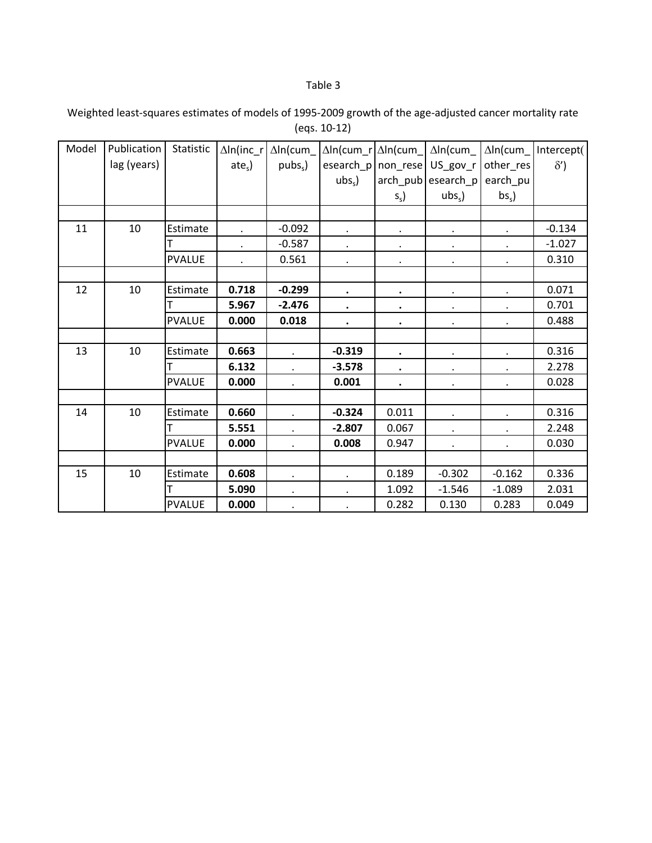Weighted least‐squares estimates of models of 1995‐2009 growth of the age‐adjusted cancer mortality rate (eqs. 10‐12)

| Model | Publication | Statistic     | $\Delta$ In(inc_r    | $\Delta$ In(cum   | $\Delta$ In(cum_r | $\Delta$ In(cum | $\Delta$ In(cum    | $\Delta$ In(cum | Intercept( |
|-------|-------------|---------------|----------------------|-------------------|-------------------|-----------------|--------------------|-----------------|------------|
|       | lag (years) |               | $ates$ )             | pubs <sub>s</sub> | esearch_p         | non_rese        | US_gov_r           | other_res       | $\delta'$  |
|       |             |               |                      |                   | $ubss$ )          |                 | arch_pub esearch_p | earch_pu        |            |
|       |             |               |                      |                   |                   | $S_{s}$         | $ubss$ )           | bs <sub>s</sub> |            |
|       |             |               |                      |                   |                   |                 |                    |                 |            |
| 11    | 10          | Estimate      | $\ddot{\phantom{0}}$ | $-0.092$          | $\bullet$         | $\bullet$       | $\bullet$          | $\bullet$       | $-0.134$   |
|       |             | т             | $\bullet$            | $-0.587$          | $\bullet$         | $\bullet$       | $\bullet$          | $\bullet$       | $-1.027$   |
|       |             | <b>PVALUE</b> | $\ddot{\phantom{0}}$ | 0.561             | $\bullet$         | $\bullet$       | $\bullet$          | $\cdot$         | 0.310      |
|       |             |               |                      |                   |                   |                 |                    |                 |            |
| 12    | 10          | Estimate      | 0.718                | $-0.299$          |                   | $\bullet$       | $\bullet$          |                 | 0.071      |
|       |             |               | 5.967                | $-2.476$          |                   | $\bullet$       | $\bullet$          |                 | 0.701      |
|       |             | <b>PVALUE</b> | 0.000                | 0.018             | $\bullet$         | $\bullet$       | $\bullet$          |                 | 0.488      |
|       |             |               |                      |                   |                   |                 |                    |                 |            |
| 13    | 10          | Estimate      | 0.663                |                   | $-0.319$          | $\bullet$       | $\bullet$          |                 | 0.316      |
|       |             |               | 6.132                |                   | $-3.578$          | $\bullet$       |                    | $\bullet$       | 2.278      |
|       |             | <b>PVALUE</b> | 0.000                | $\bullet$         | 0.001             | $\bullet$       | $\bullet$          | $\bullet$       | 0.028      |
|       |             |               |                      |                   |                   |                 |                    |                 |            |
| 14    | 10          | Estimate      | 0.660                |                   | $-0.324$          | 0.011           | $\bullet$          | $\cdot$         | 0.316      |
|       |             |               | 5.551                |                   | $-2.807$          | 0.067           | $\bullet$          | $\bullet$       | 2.248      |
|       |             | <b>PVALUE</b> | 0.000                | $\bullet$         | 0.008             | 0.947           | $\bullet$          | $\bullet$       | 0.030      |
|       |             |               |                      |                   |                   |                 |                    |                 |            |
| 15    | 10          | Estimate      | 0.608                | $\bullet$         | $\bullet$         | 0.189           | $-0.302$           | $-0.162$        | 0.336      |
|       |             |               | 5.090                | $\bullet$         | $\blacksquare$    | 1.092           | $-1.546$           | $-1.089$        | 2.031      |
|       |             | <b>PVALUE</b> | 0.000                |                   |                   | 0.282           | 0.130              | 0.283           | 0.049      |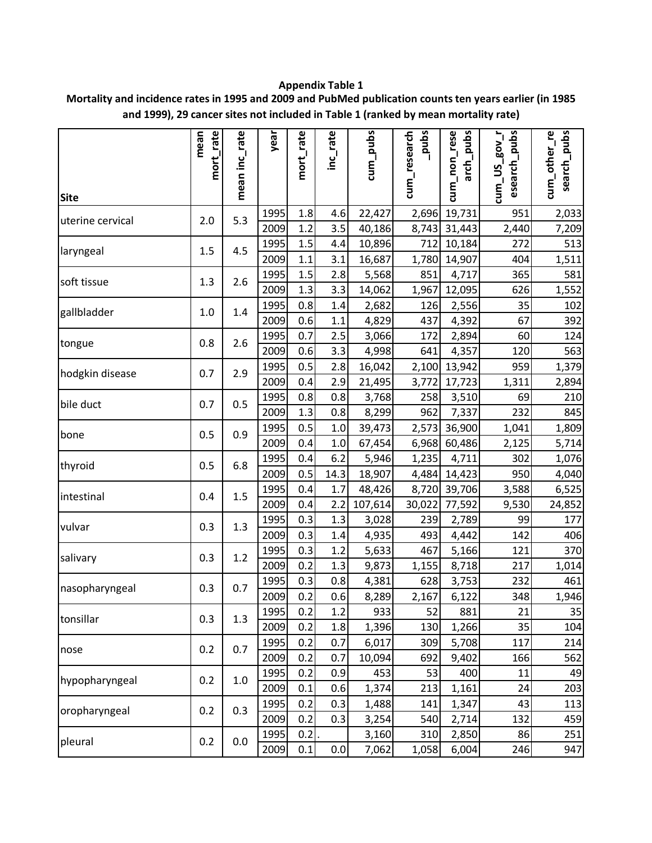# **Appendix Table 1**

**Mortality and incidence rates in 1995 and 2009 and PubMed publication counts ten years earlier (in 1985 and 1999), 29 cancer sites not included in Table 1 (ranked by mean mortality rate)**

|                  | mort_rate<br>mean | mean inc_rate | year | mort_rate | inc_rate | cum_pubs | sqnd <sup>-</sup><br>cum_research | cum_non_rese<br>arch_pubs | esearch_pubs<br><b>Loo</b> g<br>$cum$ _US | cum_other_re<br>search_pubs |
|------------------|-------------------|---------------|------|-----------|----------|----------|-----------------------------------|---------------------------|-------------------------------------------|-----------------------------|
| <b>Site</b>      |                   |               | 1995 | 1.8       | 4.6      | 22,427   | 2,696                             | 19,731                    | 951                                       | 2,033                       |
| uterine cervical | 2.0               | 5.3           | 2009 | 1.2       | 3.5      | 40,186   | 8,743                             | 31,443                    | 2,440                                     | 7,209                       |
|                  |                   |               | 1995 | 1.5       | 4.4      | 10,896   | 712                               | 10,184                    | 272                                       | 513                         |
| laryngeal        | 1.5               | 4.5           | 2009 | 1.1       | 3.1      | 16,687   | 1,780                             | 14,907                    | 404                                       | 1,511                       |
|                  |                   |               | 1995 | 1.5       | 2.8      | 5,568    | 851                               | 4,717                     | 365                                       | 581                         |
| soft tissue      | 1.3               | 2.6           | 2009 | 1.3       | 3.3      | 14,062   | 1,967                             | 12,095                    | 626                                       | 1,552                       |
| gallbladder      | 1.0               | 1.4           | 1995 | 0.8       | 1.4      | 2,682    | 126                               | 2,556                     | 35                                        | 102                         |
|                  |                   |               | 2009 | 0.6       | 1.1      | 4,829    | 437                               | 4,392                     | 67                                        | 392                         |
| tongue           | 0.8               | 2.6           | 1995 | 0.7       | 2.5      | 3,066    | 172                               | 2,894                     | 60                                        | 124                         |
|                  |                   |               | 2009 | 0.6       | 3.3      | 4,998    | 641                               | 4,357                     | 120                                       | 563                         |
| hodgkin disease  | 0.7               | 2.9           | 1995 | 0.5       | 2.8      | 16,042   | 2,100                             | 13,942                    | 959                                       | 1,379                       |
|                  |                   |               | 2009 | 0.4       | 2.9      | 21,495   | 3,772                             | 17,723                    | 1,311                                     | 2,894                       |
| bile duct        | 0.7               | 0.5           | 1995 | 0.8       | 0.8      | 3,768    | 258                               | 3,510                     | 69                                        | 210                         |
|                  |                   |               | 2009 | 1.3       | 0.8      | 8,299    | 962                               | 7,337                     | 232                                       | 845                         |
| bone             | 0.5               | 0.9           | 1995 | 0.5       | 1.0      | 39,473   | 2,573                             | 36,900                    | 1,041                                     | 1,809                       |
|                  |                   |               | 2009 | 0.4       | 1.0      | 67,454   | 6,968                             | 60,486                    | 2,125                                     | 5,714                       |
| thyroid          | 0.5               | 6.8           | 1995 | 0.4       | 6.2      | 5,946    | 1,235                             | 4,711                     | 302                                       | 1,076                       |
|                  |                   |               | 2009 | 0.5       | 14.3     | 18,907   | 4,484                             | 14,423                    | 950                                       | 4,040                       |
| intestinal       | 0.4               | 1.5           | 1995 | 0.4       | 1.7      | 48,426   | 8,720                             | 39,706                    | 3,588                                     | 6,525                       |
|                  |                   |               | 2009 | 0.4       | 2.2      | 107,614  | 30,022                            | 77,592                    | 9,530                                     | 24,852                      |
| vulvar           | 0.3               | 1.3           | 1995 | 0.3       | 1.3      | 3,028    | 239                               | 2,789                     | 99                                        | 177                         |
|                  |                   |               | 2009 | 0.3       | 1.4      | 4,935    | 493                               | 4,442                     | 142                                       | 406                         |
| salivary         | 0.3               | $1.2\,$       | 1995 | 0.3       | 1.2      | 5,633    | 467                               | 5,166                     | 121                                       | 370                         |
|                  |                   |               | 2009 | 0.2       | 1.3      | 9,873    | 1,155                             | 8,718                     | 217                                       | 1,014                       |
| nasopharyngeal   | 0.3               | 0.7           | 1995 | 0.3       | $0.8\,$  | 4,381    | 628                               | 3,753                     | 232                                       | 461                         |
|                  |                   |               | 2009 | 0.2       | 0.6      | 8,289    | 2,167                             | 6,122                     | 348                                       | 1,946                       |
| tonsillar        | 0.3               | 1.3           | 1995 | 0.2       | 1.2      | 933      | 52                                | 881                       | 21                                        | 35                          |
|                  |                   |               | 2009 | 0.2       | 1.8      | 1,396    | 130                               | 1,266                     | 35                                        | 104                         |
| nose             | 0.2               | 0.7           | 1995 | 0.2       | 0.7      | 6,017    | 309                               | 5,708                     | 117                                       | 214                         |
|                  |                   |               | 2009 | 0.2       | 0.7      | 10,094   | 692                               | 9,402                     | 166                                       | 562                         |
| hypopharyngeal   | 0.2               | $1.0\,$       | 1995 | 0.2       | 0.9      | 453      | 53                                | 400                       | 11                                        | 49                          |
|                  |                   |               | 2009 | 0.1       | 0.6      | 1,374    | 213                               | 1,161                     | 24                                        | 203                         |
| oropharyngeal    | 0.2               | 0.3           | 1995 | 0.2       | 0.3      | 1,488    | 141                               | 1,347                     | 43                                        | 113                         |
|                  |                   |               | 2009 | 0.2       | 0.3      | 3,254    | 540                               | 2,714                     | 132                                       | 459                         |
| pleural          | 0.2               | 0.0           | 1995 | 0.2       |          | 3,160    | 310                               | 2,850                     | 86                                        | 251                         |
|                  |                   |               | 2009 | 0.1       | 0.0      | 7,062    | 1,058                             | 6,004                     | 246                                       | 947                         |